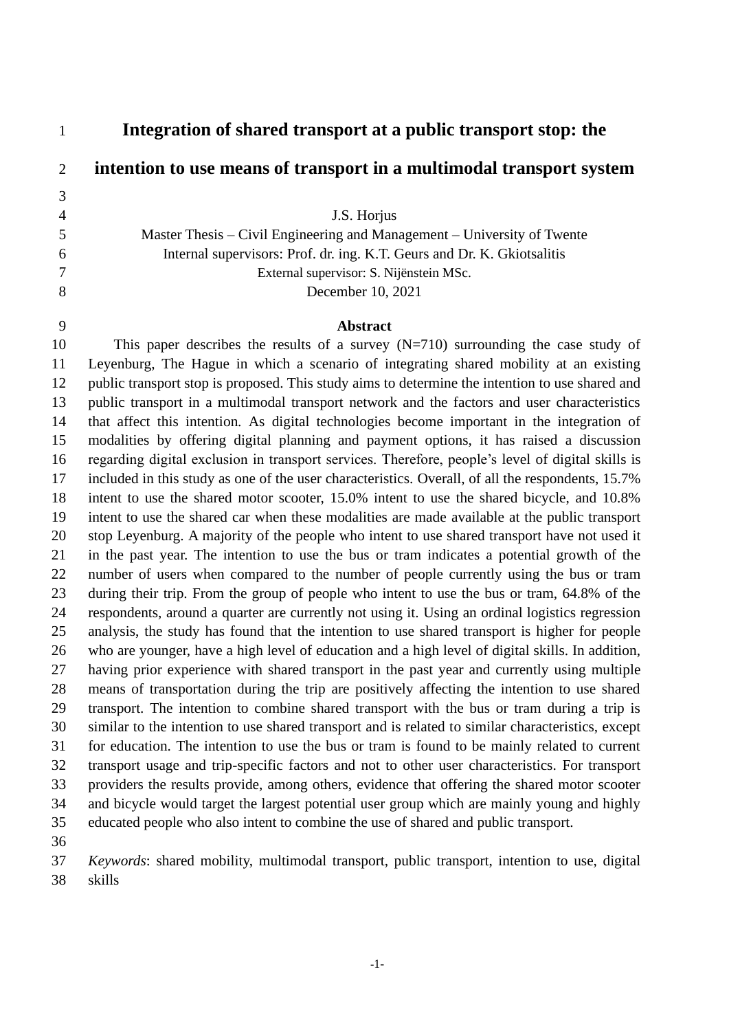**Integration of shared transport at a public transport stop: the intention to use means of transport in a multimodal transport system** J.S. Horjus Master Thesis – Civil Engineering and Management – University of Twente Internal supervisors: Prof. dr. ing. K.T. Geurs and Dr. K. Gkiotsalitis External supervisor: S. Nijënstein MSc. December 10, 2021 **Abstract** This paper describes the results of a survey (N=710) surrounding the case study of

 Leyenburg, The Hague in which a scenario of integrating shared mobility at an existing public transport stop is proposed. This study aims to determine the intention to use shared and public transport in a multimodal transport network and the factors and user characteristics that affect this intention. As digital technologies become important in the integration of modalities by offering digital planning and payment options, it has raised a discussion regarding digital exclusion in transport services. Therefore, people's level of digital skills is included in this study as one of the user characteristics. Overall, of all the respondents, 15.7% intent to use the shared motor scooter, 15.0% intent to use the shared bicycle, and 10.8% intent to use the shared car when these modalities are made available at the public transport stop Leyenburg. A majority of the people who intent to use shared transport have not used it in the past year. The intention to use the bus or tram indicates a potential growth of the number of users when compared to the number of people currently using the bus or tram during their trip. From the group of people who intent to use the bus or tram, 64.8% of the respondents, around a quarter are currently not using it. Using an ordinal logistics regression analysis, the study has found that the intention to use shared transport is higher for people who are younger, have a high level of education and a high level of digital skills. In addition, having prior experience with shared transport in the past year and currently using multiple means of transportation during the trip are positively affecting the intention to use shared transport. The intention to combine shared transport with the bus or tram during a trip is similar to the intention to use shared transport and is related to similar characteristics, except for education. The intention to use the bus or tram is found to be mainly related to current transport usage and trip-specific factors and not to other user characteristics. For transport providers the results provide, among others, evidence that offering the shared motor scooter and bicycle would target the largest potential user group which are mainly young and highly educated people who also intent to combine the use of shared and public transport.

 *Keywords*: shared mobility, multimodal transport, public transport, intention to use, digital skills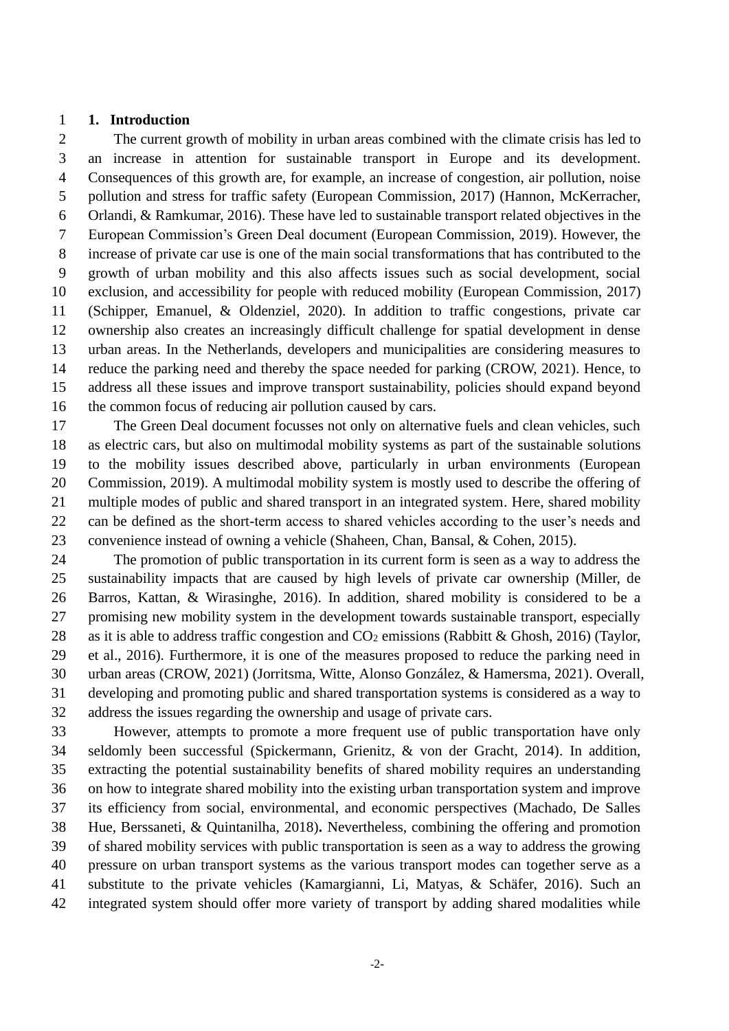#### **1. Introduction**

 The current growth of mobility in urban areas combined with the climate crisis has led to an increase in attention for sustainable transport in Europe and its development. Consequences of this growth are, for example, an increase of congestion, air pollution, noise pollution and stress for traffic safety (European Commission, 2017) (Hannon, McKerracher, Orlandi, & Ramkumar, 2016). These have led to sustainable transport related objectives in the European Commission's Green Deal document (European Commission, 2019). However, the increase of private car use is one of the main social transformations that has contributed to the growth of urban mobility and this also affects issues such as social development, social exclusion, and accessibility for people with reduced mobility (European Commission, 2017) (Schipper, Emanuel, & Oldenziel, 2020). In addition to traffic congestions, private car ownership also creates an increasingly difficult challenge for spatial development in dense urban areas. In the Netherlands, developers and municipalities are considering measures to reduce the parking need and thereby the space needed for parking (CROW, 2021). Hence, to address all these issues and improve transport sustainability, policies should expand beyond 16 the common focus of reducing air pollution caused by cars.

 The Green Deal document focusses not only on alternative fuels and clean vehicles, such as electric cars, but also on multimodal mobility systems as part of the sustainable solutions to the mobility issues described above, particularly in urban environments (European Commission, 2019). A multimodal mobility system is mostly used to describe the offering of multiple modes of public and shared transport in an integrated system. Here, shared mobility can be defined as the short-term access to shared vehicles according to the user's needs and convenience instead of owning a vehicle (Shaheen, Chan, Bansal, & Cohen, 2015).

 The promotion of public transportation in its current form is seen as a way to address the sustainability impacts that are caused by high levels of private car ownership (Miller, de Barros, Kattan, & Wirasinghe, 2016). In addition, shared mobility is considered to be a promising new mobility system in the development towards sustainable transport, especially 28 as it is able to address traffic congestion and  $CO<sub>2</sub>$  emissions (Rabbitt & Ghosh, 2016) (Taylor, et al., 2016). Furthermore, it is one of the measures proposed to reduce the parking need in urban areas (CROW, 2021) (Jorritsma, Witte, Alonso González, & Hamersma, 2021). Overall, developing and promoting public and shared transportation systems is considered as a way to address the issues regarding the ownership and usage of private cars.

 However, attempts to promote a more frequent use of public transportation have only seldomly been successful (Spickermann, Grienitz, & von der Gracht, 2014). In addition, extracting the potential sustainability benefits of shared mobility requires an understanding on how to integrate shared mobility into the existing urban transportation system and improve its efficiency from social, environmental, and economic perspectives (Machado, De Salles Hue, Berssaneti, & Quintanilha, 2018)**.** Nevertheless, combining the offering and promotion of shared mobility services with public transportation is seen as a way to address the growing pressure on urban transport systems as the various transport modes can together serve as a substitute to the private vehicles (Kamargianni, Li, Matyas, & Schäfer, 2016). Such an integrated system should offer more variety of transport by adding shared modalities while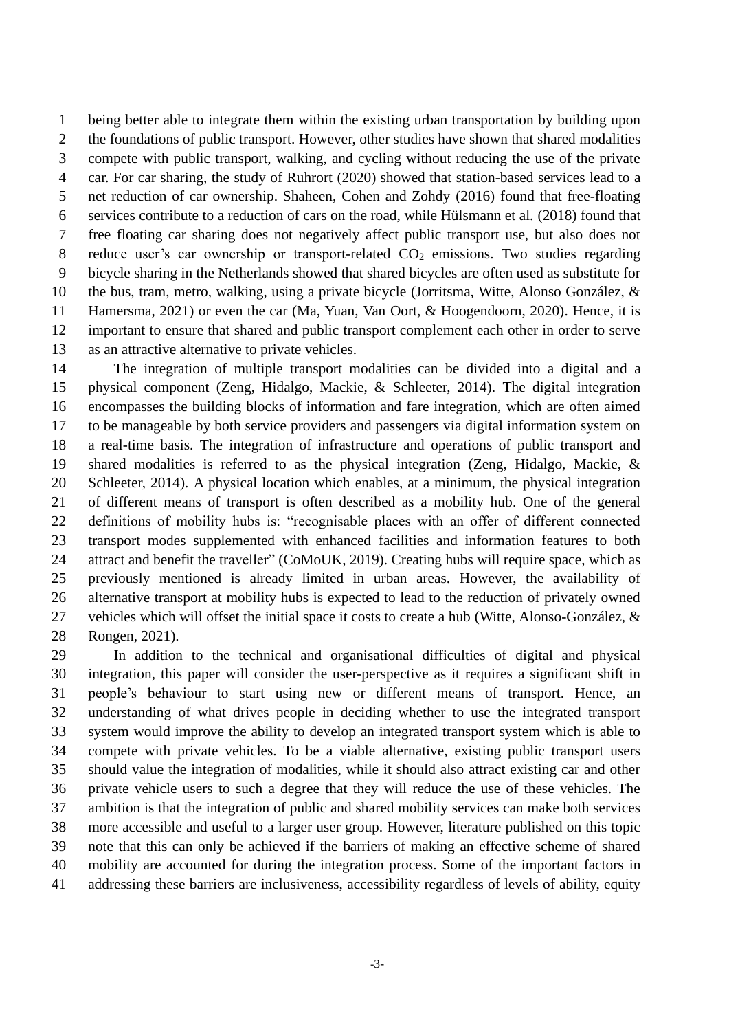being better able to integrate them within the existing urban transportation by building upon the foundations of public transport. However, other studies have shown that shared modalities compete with public transport, walking, and cycling without reducing the use of the private car. For car sharing, the study of Ruhrort (2020) showed that station-based services lead to a net reduction of car ownership. Shaheen, Cohen and Zohdy (2016) found that free-floating services contribute to a reduction of cars on the road, while Hülsmann et al. (2018) found that free floating car sharing does not negatively affect public transport use, but also does not 8 reduce user's car ownership or transport-related  $CO<sub>2</sub>$  emissions. Two studies regarding bicycle sharing in the Netherlands showed that shared bicycles are often used as substitute for the bus, tram, metro, walking, using a private bicycle (Jorritsma, Witte, Alonso González, & Hamersma, 2021) or even the car (Ma, Yuan, Van Oort, & Hoogendoorn, 2020). Hence, it is important to ensure that shared and public transport complement each other in order to serve as an attractive alternative to private vehicles.

 The integration of multiple transport modalities can be divided into a digital and a physical component (Zeng, Hidalgo, Mackie, & Schleeter, 2014). The digital integration encompasses the building blocks of information and fare integration, which are often aimed to be manageable by both service providers and passengers via digital information system on a real-time basis. The integration of infrastructure and operations of public transport and shared modalities is referred to as the physical integration (Zeng, Hidalgo, Mackie, & Schleeter, 2014). A physical location which enables, at a minimum, the physical integration of different means of transport is often described as a mobility hub. One of the general definitions of mobility hubs is: "recognisable places with an offer of different connected transport modes supplemented with enhanced facilities and information features to both attract and benefit the traveller" (CoMoUK, 2019). Creating hubs will require space, which as previously mentioned is already limited in urban areas. However, the availability of alternative transport at mobility hubs is expected to lead to the reduction of privately owned vehicles which will offset the initial space it costs to create a hub (Witte, Alonso-González, & Rongen, 2021).

 In addition to the technical and organisational difficulties of digital and physical integration, this paper will consider the user-perspective as it requires a significant shift in people's behaviour to start using new or different means of transport. Hence, an understanding of what drives people in deciding whether to use the integrated transport system would improve the ability to develop an integrated transport system which is able to compete with private vehicles. To be a viable alternative, existing public transport users should value the integration of modalities, while it should also attract existing car and other private vehicle users to such a degree that they will reduce the use of these vehicles. The ambition is that the integration of public and shared mobility services can make both services more accessible and useful to a larger user group. However, literature published on this topic note that this can only be achieved if the barriers of making an effective scheme of shared mobility are accounted for during the integration process. Some of the important factors in addressing these barriers are inclusiveness, accessibility regardless of levels of ability, equity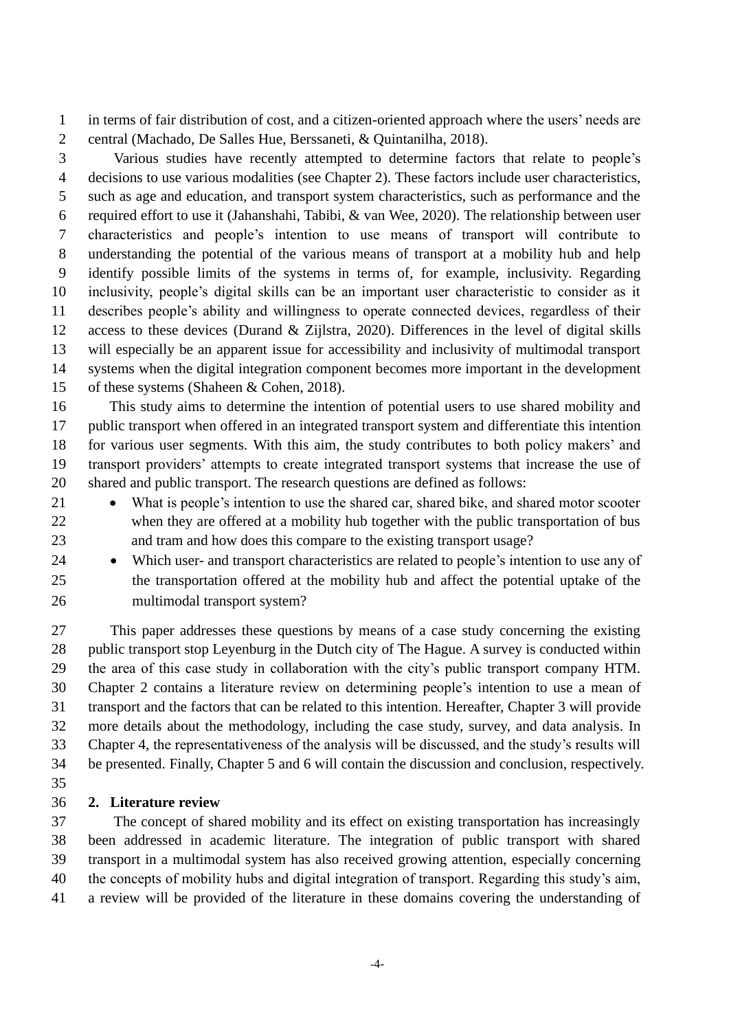in terms of fair distribution of cost, and a citizen-oriented approach where the users' needs are central (Machado, De Salles Hue, Berssaneti, & Quintanilha, 2018).

 Various studies have recently attempted to determine factors that relate to people's decisions to use various modalities (see Chapter 2). These factors include user characteristics, such as age and education, and transport system characteristics, such as performance and the required effort to use it (Jahanshahi, Tabibi, & van Wee, 2020). The relationship between user characteristics and people's intention to use means of transport will contribute to understanding the potential of the various means of transport at a mobility hub and help identify possible limits of the systems in terms of, for example, inclusivity. Regarding inclusivity, people's digital skills can be an important user characteristic to consider as it describes people's ability and willingness to operate connected devices, regardless of their access to these devices (Durand & Zijlstra, 2020). Differences in the level of digital skills will especially be an apparent issue for accessibility and inclusivity of multimodal transport systems when the digital integration component becomes more important in the development of these systems (Shaheen & Cohen, 2018).

 This study aims to determine the intention of potential users to use shared mobility and public transport when offered in an integrated transport system and differentiate this intention for various user segments. With this aim, the study contributes to both policy makers' and transport providers' attempts to create integrated transport systems that increase the use of shared and public transport. The research questions are defined as follows:

- 21 What is people's intention to use the shared car, shared bike, and shared motor scooter when they are offered at a mobility hub together with the public transportation of bus and tram and how does this compare to the existing transport usage?
- 24 Which user- and transport characteristics are related to people's intention to use any of the transportation offered at the mobility hub and affect the potential uptake of the multimodal transport system?

 This paper addresses these questions by means of a case study concerning the existing public transport stop Leyenburg in the Dutch city of The Hague. A survey is conducted within the area of this case study in collaboration with the city's public transport company HTM. Chapter 2 contains a literature review on determining people's intention to use a mean of transport and the factors that can be related to this intention. Hereafter, Chapter 3 will provide more details about the methodology, including the case study, survey, and data analysis. In Chapter 4, the representativeness of the analysis will be discussed, and the study's results will be presented. Finally, Chapter 5 and 6 will contain the discussion and conclusion, respectively.

# **2. Literature review**

 The concept of shared mobility and its effect on existing transportation has increasingly been addressed in academic literature. The integration of public transport with shared transport in a multimodal system has also received growing attention, especially concerning the concepts of mobility hubs and digital integration of transport. Regarding this study's aim, a review will be provided of the literature in these domains covering the understanding of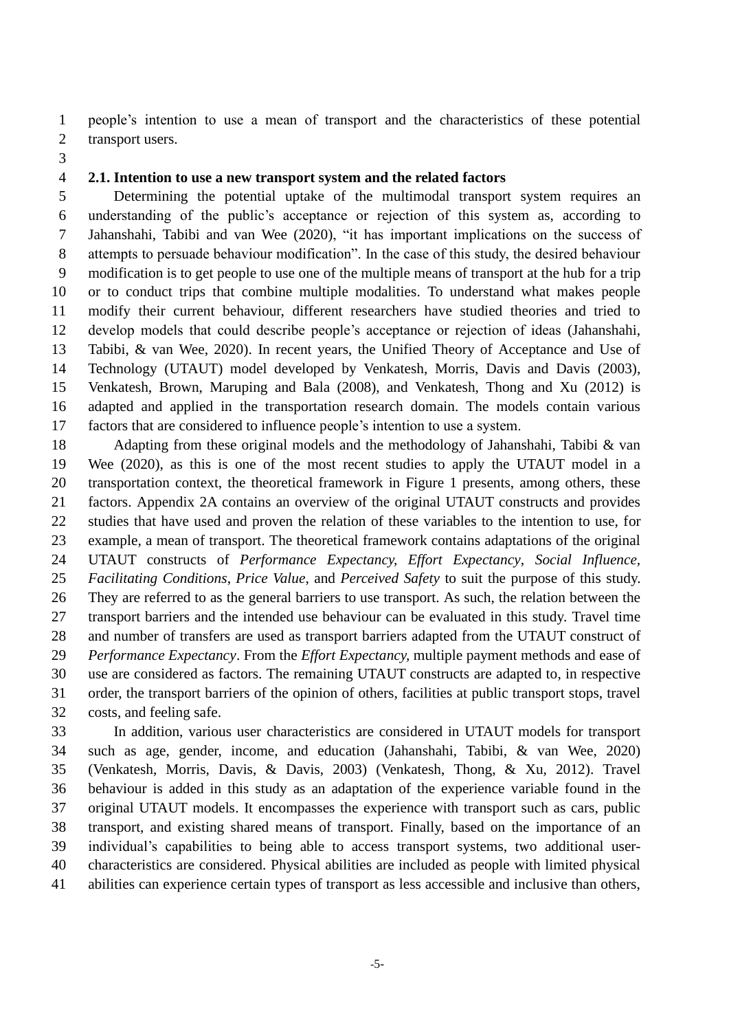people's intention to use a mean of transport and the characteristics of these potential transport users.

### **2.1. Intention to use a new transport system and the related factors**

 Determining the potential uptake of the multimodal transport system requires an understanding of the public's acceptance or rejection of this system as, according to Jahanshahi, Tabibi and van Wee (2020), "it has important implications on the success of attempts to persuade behaviour modification". In the case of this study, the desired behaviour modification is to get people to use one of the multiple means of transport at the hub for a trip or to conduct trips that combine multiple modalities. To understand what makes people modify their current behaviour, different researchers have studied theories and tried to develop models that could describe people's acceptance or rejection of ideas (Jahanshahi, Tabibi, & van Wee, 2020). In recent years, the Unified Theory of Acceptance and Use of Technology (UTAUT) model developed by Venkatesh, Morris, Davis and Davis (2003), Venkatesh, Brown, Maruping and Bala (2008), and Venkatesh, Thong and Xu (2012) is adapted and applied in the transportation research domain. The models contain various factors that are considered to influence people's intention to use a system.

 Adapting from these original models and the methodology of Jahanshahi, Tabibi & van Wee (2020), as this is one of the most recent studies to apply the UTAUT model in a transportation context, the theoretical framework in Figure 1 presents, among others, these factors. Appendix 2A contains an overview of the original UTAUT constructs and provides studies that have used and proven the relation of these variables to the intention to use, for example, a mean of transport. The theoretical framework contains adaptations of the original UTAUT constructs of *Performance Expectancy, Effort Expectancy*, *Social Influence, Facilitating Conditions*, *Price Value*, and *Perceived Safety* to suit the purpose of this study. They are referred to as the general barriers to use transport. As such, the relation between the transport barriers and the intended use behaviour can be evaluated in this study. Travel time and number of transfers are used as transport barriers adapted from the UTAUT construct of *Performance Expectancy*. From the *Effort Expectancy,* multiple payment methods and ease of use are considered as factors. The remaining UTAUT constructs are adapted to, in respective order, the transport barriers of the opinion of others, facilities at public transport stops, travel costs, and feeling safe.

 In addition, various user characteristics are considered in UTAUT models for transport such as age, gender, income, and education (Jahanshahi, Tabibi, & van Wee, 2020) (Venkatesh, Morris, Davis, & Davis, 2003) (Venkatesh, Thong, & Xu, 2012). Travel behaviour is added in this study as an adaptation of the experience variable found in the original UTAUT models. It encompasses the experience with transport such as cars, public transport, and existing shared means of transport. Finally, based on the importance of an individual's capabilities to being able to access transport systems, two additional user- characteristics are considered. Physical abilities are included as people with limited physical abilities can experience certain types of transport as less accessible and inclusive than others,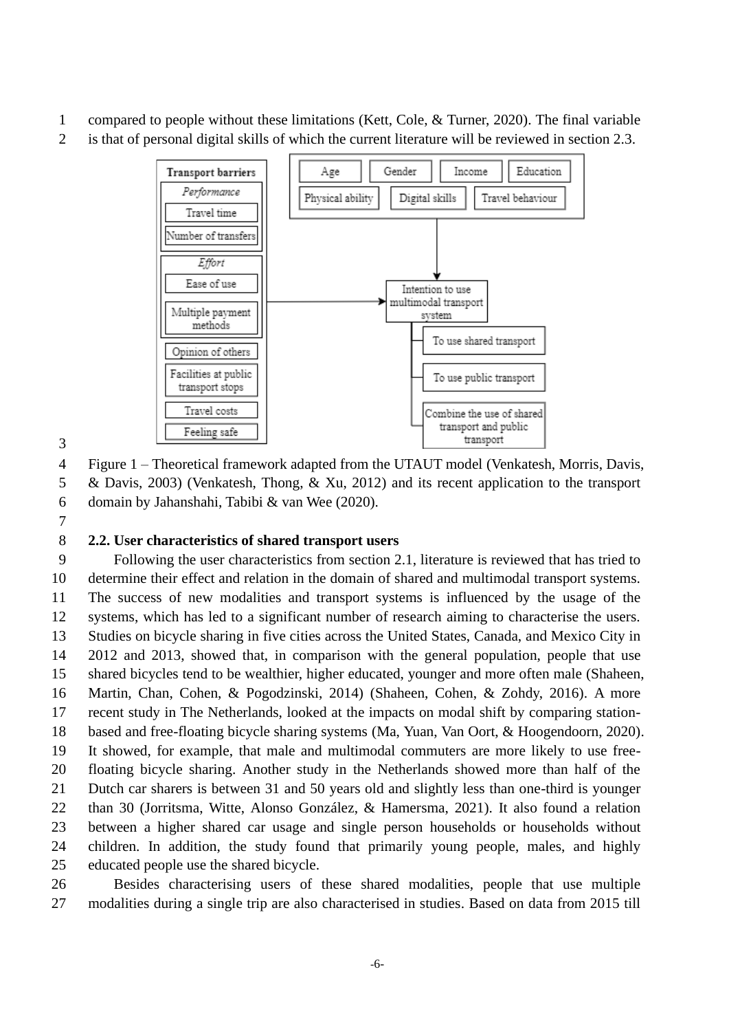- compared to people without these limitations (Kett, Cole, & Turner, 2020). The final variable
- is that of personal digital skills of which the current literature will be reviewed in section 2.3.



Figure 1 – Theoretical framework adapted from the UTAUT model (Venkatesh, Morris, Davis,

& Davis, 2003) (Venkatesh, Thong, & Xu, 2012) and its recent application to the transport

domain by Jahanshahi, Tabibi & van Wee (2020).

## **2.2. User characteristics of shared transport users**

 Following the user characteristics from section 2.1, literature is reviewed that has tried to determine their effect and relation in the domain of shared and multimodal transport systems. The success of new modalities and transport systems is influenced by the usage of the systems, which has led to a significant number of research aiming to characterise the users. Studies on bicycle sharing in five cities across the United States, Canada, and Mexico City in 2012 and 2013, showed that, in comparison with the general population, people that use shared bicycles tend to be wealthier, higher educated, younger and more often male (Shaheen, Martin, Chan, Cohen, & Pogodzinski, 2014) (Shaheen, Cohen, & Zohdy, 2016). A more recent study in The Netherlands, looked at the impacts on modal shift by comparing station- based and free-floating bicycle sharing systems (Ma, Yuan, Van Oort, & Hoogendoorn, 2020). It showed, for example, that male and multimodal commuters are more likely to use free- floating bicycle sharing. Another study in the Netherlands showed more than half of the Dutch car sharers is between 31 and 50 years old and slightly less than one-third is younger than 30 (Jorritsma, Witte, Alonso González, & Hamersma, 2021). It also found a relation between a higher shared car usage and single person households or households without children. In addition, the study found that primarily young people, males, and highly educated people use the shared bicycle.

 Besides characterising users of these shared modalities, people that use multiple modalities during a single trip are also characterised in studies. Based on data from 2015 till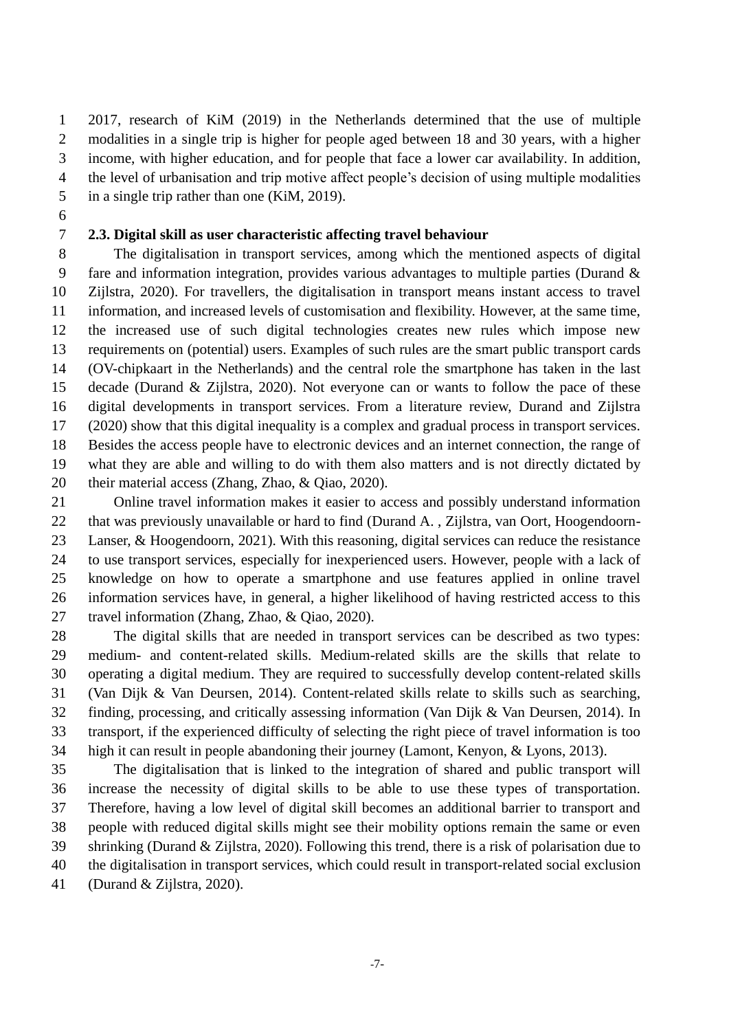2017, research of KiM (2019) in the Netherlands determined that the use of multiple modalities in a single trip is higher for people aged between 18 and 30 years, with a higher income, with higher education, and for people that face a lower car availability. In addition, the level of urbanisation and trip motive affect people's decision of using multiple modalities in a single trip rather than one (KiM, 2019).

## **2.3. Digital skill as user characteristic affecting travel behaviour**

 The digitalisation in transport services, among which the mentioned aspects of digital fare and information integration, provides various advantages to multiple parties (Durand & Zijlstra, 2020). For travellers, the digitalisation in transport means instant access to travel information, and increased levels of customisation and flexibility. However, at the same time, the increased use of such digital technologies creates new rules which impose new requirements on (potential) users. Examples of such rules are the smart public transport cards (OV-chipkaart in the Netherlands) and the central role the smartphone has taken in the last decade (Durand & Zijlstra, 2020). Not everyone can or wants to follow the pace of these digital developments in transport services. From a literature review, Durand and Zijlstra (2020) show that this digital inequality is a complex and gradual process in transport services. Besides the access people have to electronic devices and an internet connection, the range of what they are able and willing to do with them also matters and is not directly dictated by their material access (Zhang, Zhao, & Qiao, 2020).

 Online travel information makes it easier to access and possibly understand information that was previously unavailable or hard to find (Durand A. , Zijlstra, van Oort, Hoogendoorn- Lanser, & Hoogendoorn, 2021). With this reasoning, digital services can reduce the resistance to use transport services, especially for inexperienced users. However, people with a lack of knowledge on how to operate a smartphone and use features applied in online travel information services have, in general, a higher likelihood of having restricted access to this travel information (Zhang, Zhao, & Qiao, 2020).

 The digital skills that are needed in transport services can be described as two types: medium- and content-related skills. Medium-related skills are the skills that relate to operating a digital medium. They are required to successfully develop content-related skills (Van Dijk & Van Deursen, 2014). Content-related skills relate to skills such as searching, finding, processing, and critically assessing information (Van Dijk & Van Deursen, 2014). In transport, if the experienced difficulty of selecting the right piece of travel information is too high it can result in people abandoning their journey (Lamont, Kenyon, & Lyons, 2013).

 The digitalisation that is linked to the integration of shared and public transport will increase the necessity of digital skills to be able to use these types of transportation. Therefore, having a low level of digital skill becomes an additional barrier to transport and people with reduced digital skills might see their mobility options remain the same or even shrinking (Durand & Zijlstra, 2020). Following this trend, there is a risk of polarisation due to the digitalisation in transport services, which could result in transport-related social exclusion

(Durand & Zijlstra, 2020).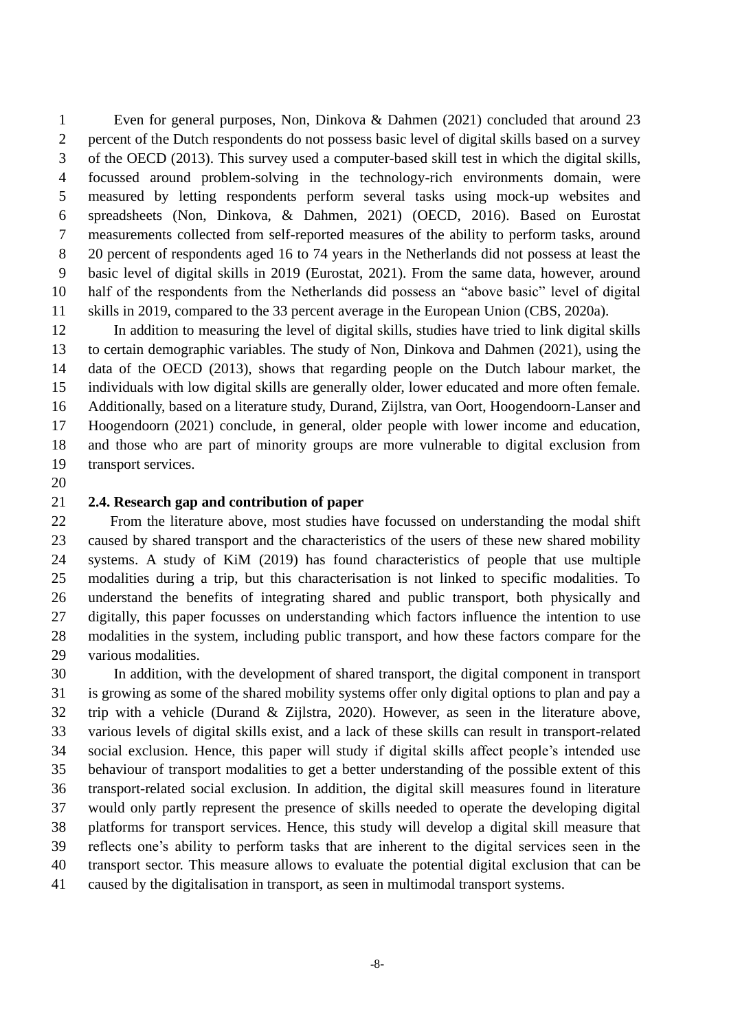Even for general purposes, Non, Dinkova & Dahmen (2021) concluded that around 23 percent of the Dutch respondents do not possess basic level of digital skills based on a survey of the OECD (2013). This survey used a computer-based skill test in which the digital skills, focussed around problem-solving in the technology-rich environments domain, were measured by letting respondents perform several tasks using mock-up websites and spreadsheets (Non, Dinkova, & Dahmen, 2021) (OECD, 2016). Based on Eurostat measurements collected from self-reported measures of the ability to perform tasks, around 20 percent of respondents aged 16 to 74 years in the Netherlands did not possess at least the basic level of digital skills in 2019 (Eurostat, 2021). From the same data, however, around half of the respondents from the Netherlands did possess an "above basic" level of digital skills in 2019, compared to the 33 percent average in the European Union (CBS, 2020a).

 In addition to measuring the level of digital skills, studies have tried to link digital skills to certain demographic variables. The study of Non, Dinkova and Dahmen (2021), using the data of the OECD (2013), shows that regarding people on the Dutch labour market, the individuals with low digital skills are generally older, lower educated and more often female. Additionally, based on a literature study, Durand, Zijlstra, van Oort, Hoogendoorn-Lanser and Hoogendoorn (2021) conclude, in general, older people with lower income and education, and those who are part of minority groups are more vulnerable to digital exclusion from transport services.

### **2.4. Research gap and contribution of paper**

 From the literature above, most studies have focussed on understanding the modal shift caused by shared transport and the characteristics of the users of these new shared mobility systems. A study of KiM (2019) has found characteristics of people that use multiple modalities during a trip, but this characterisation is not linked to specific modalities. To understand the benefits of integrating shared and public transport, both physically and digitally, this paper focusses on understanding which factors influence the intention to use modalities in the system, including public transport, and how these factors compare for the various modalities.

 In addition, with the development of shared transport, the digital component in transport is growing as some of the shared mobility systems offer only digital options to plan and pay a trip with a vehicle (Durand & Zijlstra, 2020). However, as seen in the literature above, various levels of digital skills exist, and a lack of these skills can result in transport-related social exclusion. Hence, this paper will study if digital skills affect people's intended use behaviour of transport modalities to get a better understanding of the possible extent of this transport-related social exclusion. In addition, the digital skill measures found in literature would only partly represent the presence of skills needed to operate the developing digital platforms for transport services. Hence, this study will develop a digital skill measure that reflects one's ability to perform tasks that are inherent to the digital services seen in the transport sector. This measure allows to evaluate the potential digital exclusion that can be caused by the digitalisation in transport, as seen in multimodal transport systems.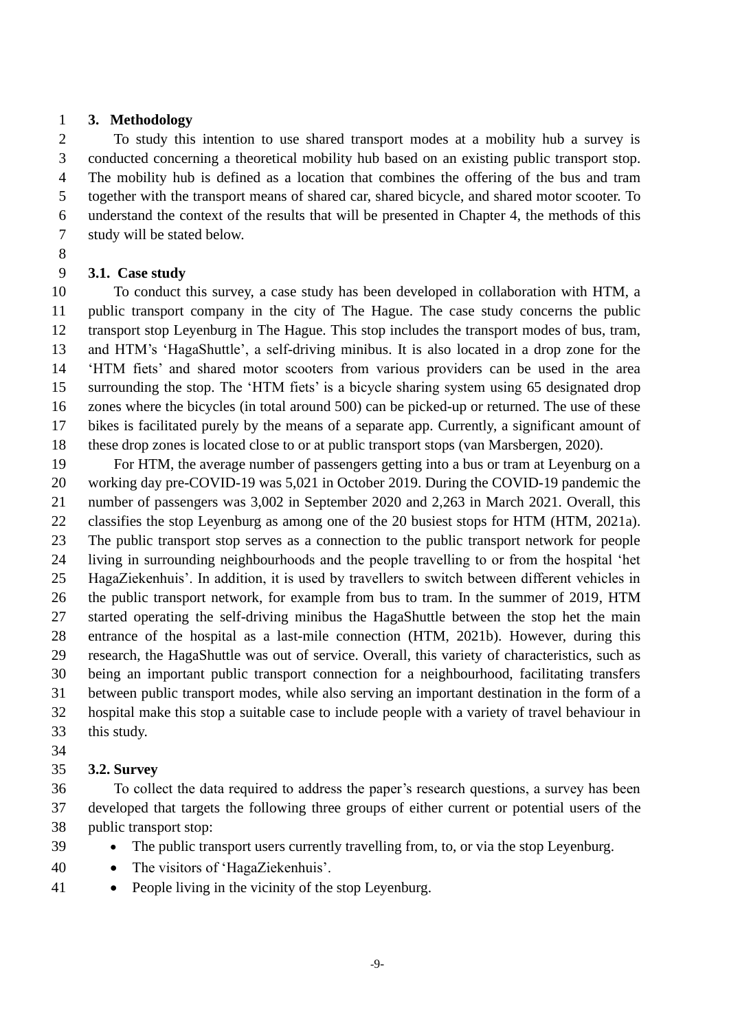### **3. Methodology**

 To study this intention to use shared transport modes at a mobility hub a survey is conducted concerning a theoretical mobility hub based on an existing public transport stop. The mobility hub is defined as a location that combines the offering of the bus and tram together with the transport means of shared car, shared bicycle, and shared motor scooter. To understand the context of the results that will be presented in Chapter 4, the methods of this study will be stated below.

## **3.1. Case study**

 To conduct this survey, a case study has been developed in collaboration with HTM, a public transport company in the city of The Hague. The case study concerns the public transport stop Leyenburg in The Hague. This stop includes the transport modes of bus, tram, and HTM's 'HagaShuttle', a self-driving minibus. It is also located in a drop zone for the 'HTM fiets' and shared motor scooters from various providers can be used in the area surrounding the stop. The 'HTM fiets' is a bicycle sharing system using 65 designated drop zones where the bicycles (in total around 500) can be picked-up or returned. The use of these bikes is facilitated purely by the means of a separate app. Currently, a significant amount of these drop zones is located close to or at public transport stops (van Marsbergen, 2020).

 For HTM, the average number of passengers getting into a bus or tram at Leyenburg on a working day pre-COVID-19 was 5,021 in October 2019. During the COVID-19 pandemic the number of passengers was 3,002 in September 2020 and 2,263 in March 2021. Overall, this classifies the stop Leyenburg as among one of the 20 busiest stops for HTM (HTM, 2021a). The public transport stop serves as a connection to the public transport network for people living in surrounding neighbourhoods and the people travelling to or from the hospital 'het HagaZiekenhuis'. In addition, it is used by travellers to switch between different vehicles in the public transport network, for example from bus to tram. In the summer of 2019, HTM started operating the self-driving minibus the HagaShuttle between the stop het the main entrance of the hospital as a last-mile connection (HTM, 2021b). However, during this research, the HagaShuttle was out of service. Overall, this variety of characteristics, such as being an important public transport connection for a neighbourhood, facilitating transfers between public transport modes, while also serving an important destination in the form of a hospital make this stop a suitable case to include people with a variety of travel behaviour in this study.

## **3.2. Survey**

 To collect the data required to address the paper's research questions, a survey has been developed that targets the following three groups of either current or potential users of the public transport stop:

- The public transport users currently travelling from, to, or via the stop Leyenburg.
- The visitors of 'HagaZiekenhuis'.
- People living in the vicinity of the stop Leyenburg.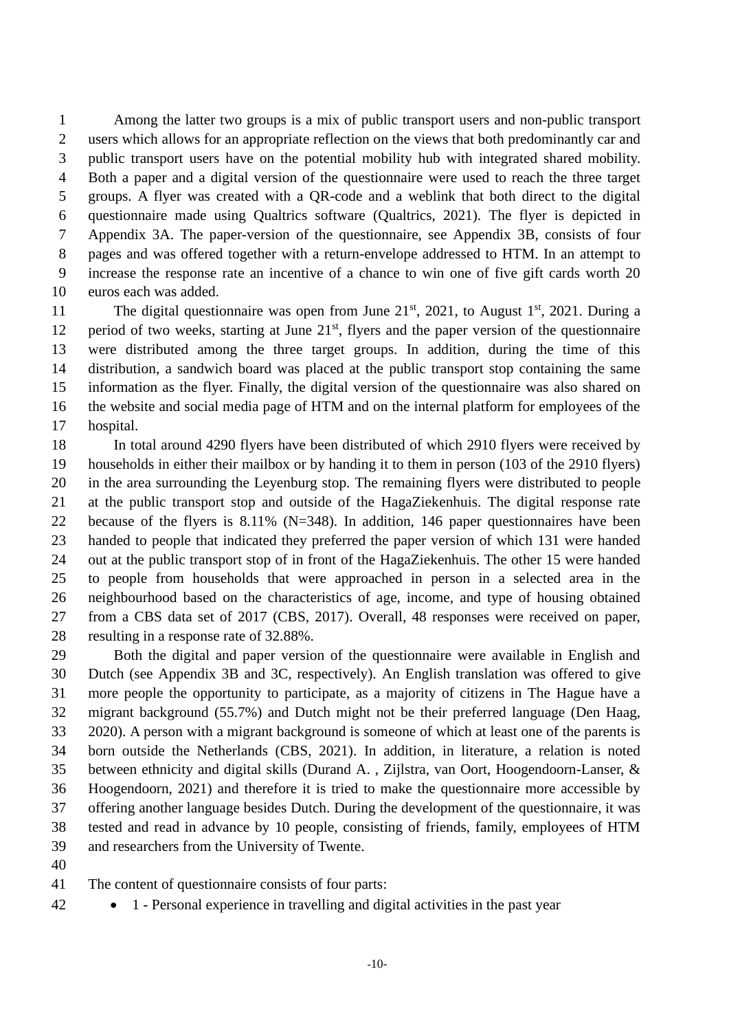Among the latter two groups is a mix of public transport users and non-public transport users which allows for an appropriate reflection on the views that both predominantly car and public transport users have on the potential mobility hub with integrated shared mobility. Both a paper and a digital version of the questionnaire were used to reach the three target groups. A flyer was created with a QR-code and a weblink that both direct to the digital questionnaire made using Qualtrics software (Qualtrics, 2021). The flyer is depicted in Appendix 3A. The paper-version of the questionnaire, see Appendix 3B, consists of four pages and was offered together with a return-envelope addressed to HTM. In an attempt to increase the response rate an incentive of a chance to win one of five gift cards worth 20 euros each was added.

The digital questionnaire was open from June  $21^{st}$ ,  $2021$ , to August  $1^{st}$ ,  $2021$ . During a 12 period of two weeks, starting at June  $21<sup>st</sup>$ , flyers and the paper version of the questionnaire were distributed among the three target groups. In addition, during the time of this distribution, a sandwich board was placed at the public transport stop containing the same information as the flyer. Finally, the digital version of the questionnaire was also shared on the website and social media page of HTM and on the internal platform for employees of the hospital.

 In total around 4290 flyers have been distributed of which 2910 flyers were received by households in either their mailbox or by handing it to them in person (103 of the 2910 flyers) in the area surrounding the Leyenburg stop. The remaining flyers were distributed to people at the public transport stop and outside of the HagaZiekenhuis. The digital response rate because of the flyers is 8.11% (N=348). In addition, 146 paper questionnaires have been handed to people that indicated they preferred the paper version of which 131 were handed out at the public transport stop of in front of the HagaZiekenhuis. The other 15 were handed to people from households that were approached in person in a selected area in the neighbourhood based on the characteristics of age, income, and type of housing obtained from a CBS data set of 2017 (CBS, 2017). Overall, 48 responses were received on paper, resulting in a response rate of 32.88%.

 Both the digital and paper version of the questionnaire were available in English and Dutch (see Appendix 3B and 3C, respectively). An English translation was offered to give more people the opportunity to participate, as a majority of citizens in The Hague have a migrant background (55.7%) and Dutch might not be their preferred language (Den Haag, 2020). A person with a migrant background is someone of which at least one of the parents is born outside the Netherlands (CBS, 2021). In addition, in literature, a relation is noted between ethnicity and digital skills (Durand A. , Zijlstra, van Oort, Hoogendoorn-Lanser, & Hoogendoorn, 2021) and therefore it is tried to make the questionnaire more accessible by offering another language besides Dutch. During the development of the questionnaire, it was tested and read in advance by 10 people, consisting of friends, family, employees of HTM and researchers from the University of Twente.

The content of questionnaire consists of four parts:

• 1 - Personal experience in travelling and digital activities in the past year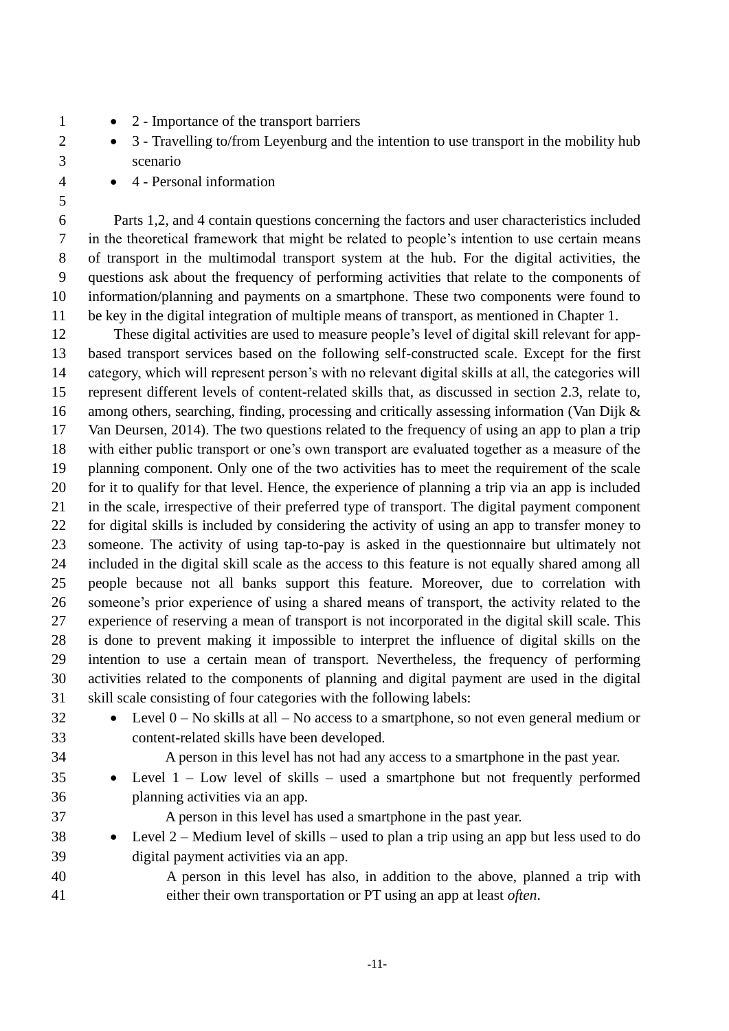- 2 Importance of the transport barriers
- 2 3 Travelling to/from Levenburg and the intention to use transport in the mobility hub scenario
- 4 Personal information
- 

 Parts 1,2, and 4 contain questions concerning the factors and user characteristics included in the theoretical framework that might be related to people's intention to use certain means of transport in the multimodal transport system at the hub. For the digital activities, the questions ask about the frequency of performing activities that relate to the components of information/planning and payments on a smartphone. These two components were found to be key in the digital integration of multiple means of transport, as mentioned in Chapter 1.

 These digital activities are used to measure people's level of digital skill relevant for app- based transport services based on the following self-constructed scale. Except for the first category, which will represent person's with no relevant digital skills at all, the categories will represent different levels of content-related skills that, as discussed in section 2.3, relate to, among others, searching, finding, processing and critically assessing information (Van Dijk & Van Deursen, 2014). The two questions related to the frequency of using an app to plan a trip with either public transport or one's own transport are evaluated together as a measure of the planning component. Only one of the two activities has to meet the requirement of the scale for it to qualify for that level. Hence, the experience of planning a trip via an app is included in the scale, irrespective of their preferred type of transport. The digital payment component for digital skills is included by considering the activity of using an app to transfer money to someone. The activity of using tap-to-pay is asked in the questionnaire but ultimately not included in the digital skill scale as the access to this feature is not equally shared among all people because not all banks support this feature. Moreover, due to correlation with someone's prior experience of using a shared means of transport, the activity related to the experience of reserving a mean of transport is not incorporated in the digital skill scale. This is done to prevent making it impossible to interpret the influence of digital skills on the intention to use a certain mean of transport. Nevertheless, the frequency of performing activities related to the components of planning and digital payment are used in the digital skill scale consisting of four categories with the following labels:

 • Level 0 – No skills at all – No access to a smartphone, so not even general medium or content-related skills have been developed.

A person in this level has not had any access to a smartphone in the past year.

- Level 1 Low level of skills used a smartphone but not frequently performed planning activities via an app.
- 

A person in this level has used a smartphone in the past year.

- Level 2 Medium level of skills used to plan a trip using an app but less used to do digital payment activities via an app.
- A person in this level has also, in addition to the above, planned a trip with either their own transportation or PT using an app at least *often*.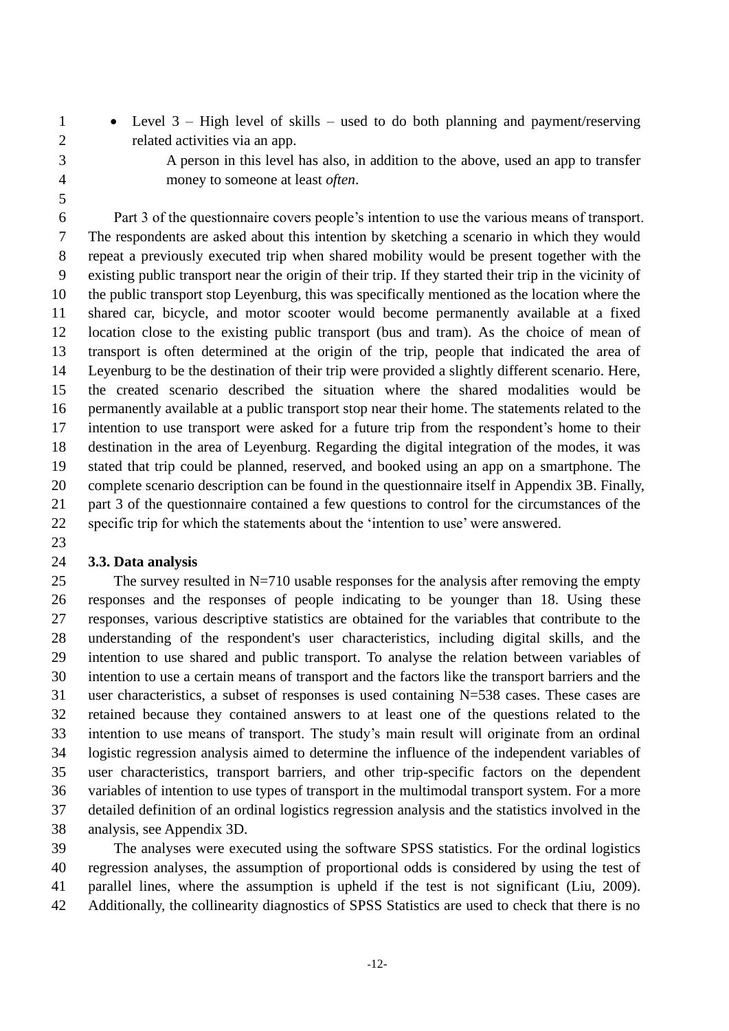• Level 3 – High level of skills – used to do both planning and payment/reserving related activities via an app.

 A person in this level has also, in addition to the above, used an app to transfer money to someone at least *often*.

 Part 3 of the questionnaire covers people's intention to use the various means of transport. The respondents are asked about this intention by sketching a scenario in which they would repeat a previously executed trip when shared mobility would be present together with the existing public transport near the origin of their trip. If they started their trip in the vicinity of the public transport stop Leyenburg, this was specifically mentioned as the location where the shared car, bicycle, and motor scooter would become permanently available at a fixed location close to the existing public transport (bus and tram). As the choice of mean of transport is often determined at the origin of the trip, people that indicated the area of Leyenburg to be the destination of their trip were provided a slightly different scenario. Here, the created scenario described the situation where the shared modalities would be permanently available at a public transport stop near their home. The statements related to the intention to use transport were asked for a future trip from the respondent's home to their destination in the area of Leyenburg. Regarding the digital integration of the modes, it was stated that trip could be planned, reserved, and booked using an app on a smartphone. The complete scenario description can be found in the questionnaire itself in Appendix 3B. Finally, part 3 of the questionnaire contained a few questions to control for the circumstances of the specific trip for which the statements about the 'intention to use' were answered.

### **3.3. Data analysis**

 The survey resulted in N=710 usable responses for the analysis after removing the empty responses and the responses of people indicating to be younger than 18. Using these responses, various descriptive statistics are obtained for the variables that contribute to the understanding of the respondent's user characteristics, including digital skills, and the intention to use shared and public transport. To analyse the relation between variables of intention to use a certain means of transport and the factors like the transport barriers and the user characteristics, a subset of responses is used containing N=538 cases. These cases are retained because they contained answers to at least one of the questions related to the intention to use means of transport. The study's main result will originate from an ordinal logistic regression analysis aimed to determine the influence of the independent variables of user characteristics, transport barriers, and other trip-specific factors on the dependent variables of intention to use types of transport in the multimodal transport system. For a more detailed definition of an ordinal logistics regression analysis and the statistics involved in the analysis, see Appendix 3D.

 The analyses were executed using the software SPSS statistics. For the ordinal logistics regression analyses, the assumption of proportional odds is considered by using the test of parallel lines, where the assumption is upheld if the test is not significant (Liu, 2009). Additionally, the collinearity diagnostics of SPSS Statistics are used to check that there is no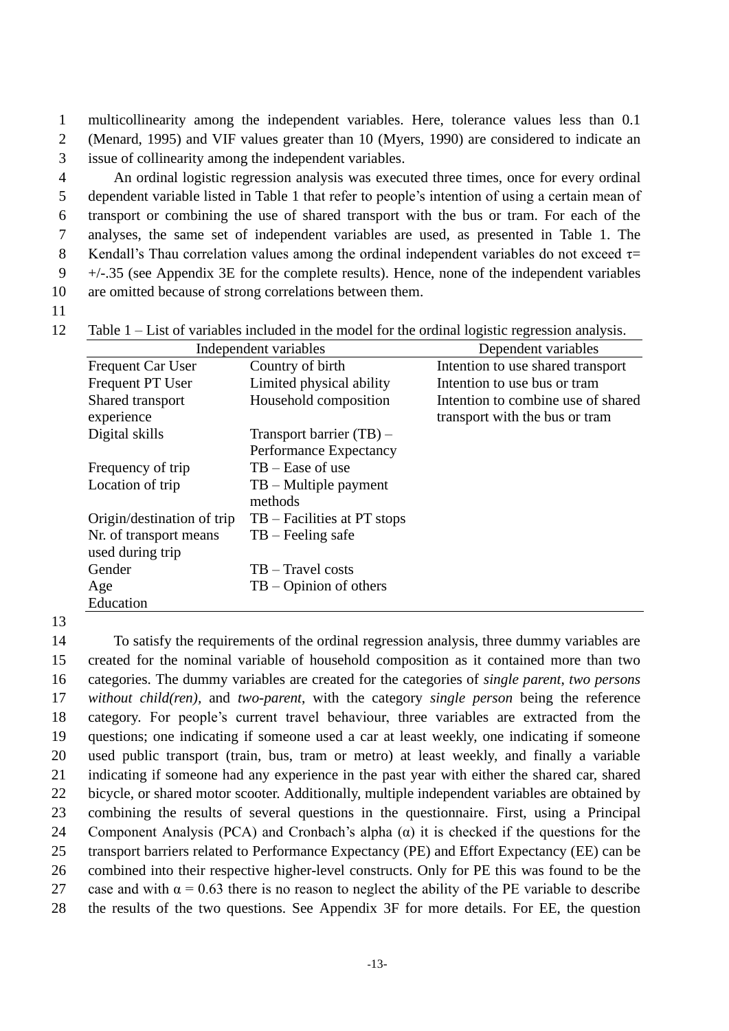1 multicollinearity among the independent variables. Here, tolerance values less than 0.1 2 (Menard, 1995) and VIF values greater than 10 (Myers, 1990) are considered to indicate an 3 issue of collinearity among the independent variables.

 An ordinal logistic regression analysis was executed three times, once for every ordinal dependent variable listed in Table 1 that refer to people's intention of using a certain mean of transport or combining the use of shared transport with the bus or tram. For each of the analyses, the same set of independent variables are used, as presented in Table 1. The 8 Kendall's Thau correlation values among the ordinal independent variables do not exceed  $\tau$  $9 +/-.35$  (see Appendix 3E for the complete results). Hence, none of the independent variables are omitted because of strong correlations between them.

11

12 Table 1 – List of variables included in the model for the ordinal logistic regression analysis.

|                            | Independent variables         | Dependent variables                |
|----------------------------|-------------------------------|------------------------------------|
| <b>Frequent Car User</b>   | Country of birth              | Intention to use shared transport  |
| <b>Frequent PT User</b>    | Limited physical ability      | Intention to use bus or tram       |
| Shared transport           | Household composition         | Intention to combine use of shared |
| experience                 |                               | transport with the bus or tram     |
| Digital skills             | Transport barrier $(TB)$ –    |                                    |
|                            | Performance Expectancy        |                                    |
| Frequency of trip          | $TB - Ease$ of use            |                                    |
| Location of trip           | $TB$ – Multiple payment       |                                    |
|                            | methods                       |                                    |
| Origin/destination of trip | $TB - Facilities$ at PT stops |                                    |
| Nr. of transport means     | $TB - Feeling safe$           |                                    |
| used during trip           |                               |                                    |
| Gender                     | $TB - Travel costs$           |                                    |
| Age                        | $TB - Opinion of others$      |                                    |
| Education                  |                               |                                    |

13

 To satisfy the requirements of the ordinal regression analysis, three dummy variables are created for the nominal variable of household composition as it contained more than two categories. The dummy variables are created for the categories of *single parent*, *two persons without child(ren),* and *two-parent*, with the category *single person* being the reference category. For people's current travel behaviour, three variables are extracted from the questions; one indicating if someone used a car at least weekly, one indicating if someone used public transport (train, bus, tram or metro) at least weekly, and finally a variable indicating if someone had any experience in the past year with either the shared car, shared bicycle, or shared motor scooter. Additionally, multiple independent variables are obtained by combining the results of several questions in the questionnaire. First, using a Principal Component Analysis (PCA) and Cronbach's alpha (α) it is checked if the questions for the transport barriers related to Performance Expectancy (PE) and Effort Expectancy (EE) can be combined into their respective higher-level constructs. Only for PE this was found to be the 27 case and with  $\alpha = 0.63$  there is no reason to neglect the ability of the PE variable to describe the results of the two questions. See Appendix 3F for more details. For EE, the question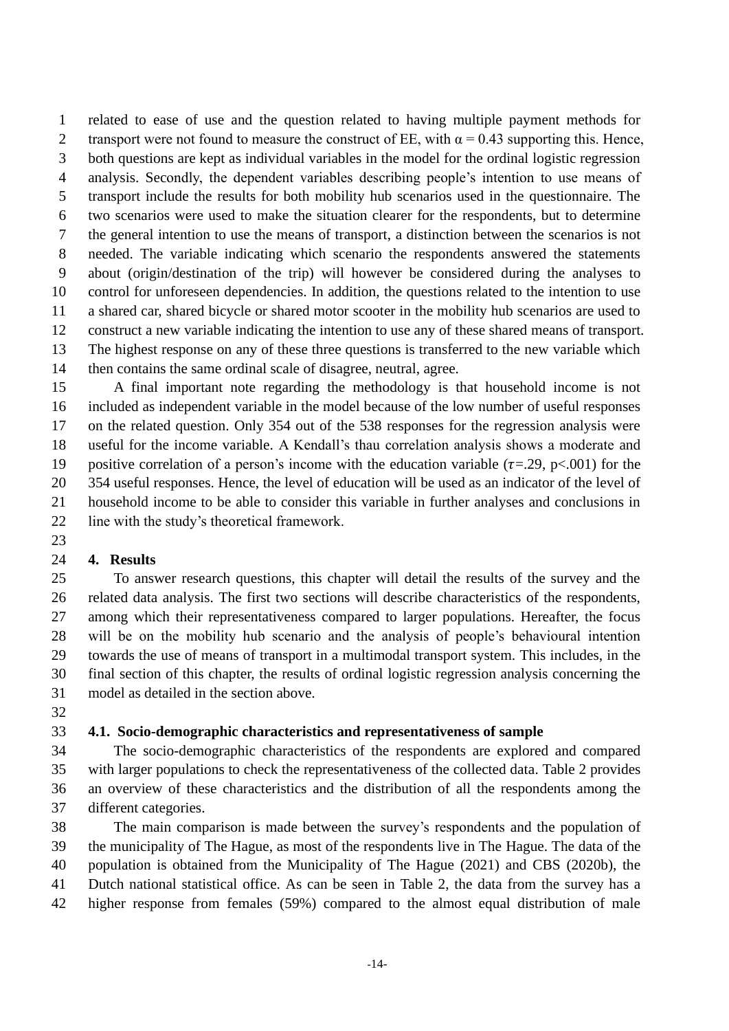related to ease of use and the question related to having multiple payment methods for 2 transport were not found to measure the construct of EE, with  $\alpha = 0.43$  supporting this. Hence, both questions are kept as individual variables in the model for the ordinal logistic regression analysis. Secondly, the dependent variables describing people's intention to use means of transport include the results for both mobility hub scenarios used in the questionnaire. The two scenarios were used to make the situation clearer for the respondents, but to determine the general intention to use the means of transport, a distinction between the scenarios is not needed. The variable indicating which scenario the respondents answered the statements about (origin/destination of the trip) will however be considered during the analyses to control for unforeseen dependencies. In addition, the questions related to the intention to use a shared car, shared bicycle or shared motor scooter in the mobility hub scenarios are used to construct a new variable indicating the intention to use any of these shared means of transport. The highest response on any of these three questions is transferred to the new variable which then contains the same ordinal scale of disagree, neutral, agree.

 A final important note regarding the methodology is that household income is not included as independent variable in the model because of the low number of useful responses on the related question. Only 354 out of the 538 responses for the regression analysis were useful for the income variable. A Kendall's thau correlation analysis shows a moderate and 19 positive correlation of a person's income with the education variable ( $\tau = .29$ ,  $p < .001$ ) for the 354 useful responses. Hence, the level of education will be used as an indicator of the level of household income to be able to consider this variable in further analyses and conclusions in line with the study's theoretical framework.

## **4. Results**

 To answer research questions, this chapter will detail the results of the survey and the related data analysis. The first two sections will describe characteristics of the respondents, among which their representativeness compared to larger populations. Hereafter, the focus will be on the mobility hub scenario and the analysis of people's behavioural intention towards the use of means of transport in a multimodal transport system. This includes, in the final section of this chapter, the results of ordinal logistic regression analysis concerning the model as detailed in the section above.

### **4.1. Socio-demographic characteristics and representativeness of sample**

 The socio-demographic characteristics of the respondents are explored and compared with larger populations to check the representativeness of the collected data. Table 2 provides an overview of these characteristics and the distribution of all the respondents among the different categories.

 The main comparison is made between the survey's respondents and the population of the municipality of The Hague, as most of the respondents live in The Hague. The data of the population is obtained from the Municipality of The Hague (2021) and CBS (2020b), the Dutch national statistical office. As can be seen in Table 2, the data from the survey has a higher response from females (59%) compared to the almost equal distribution of male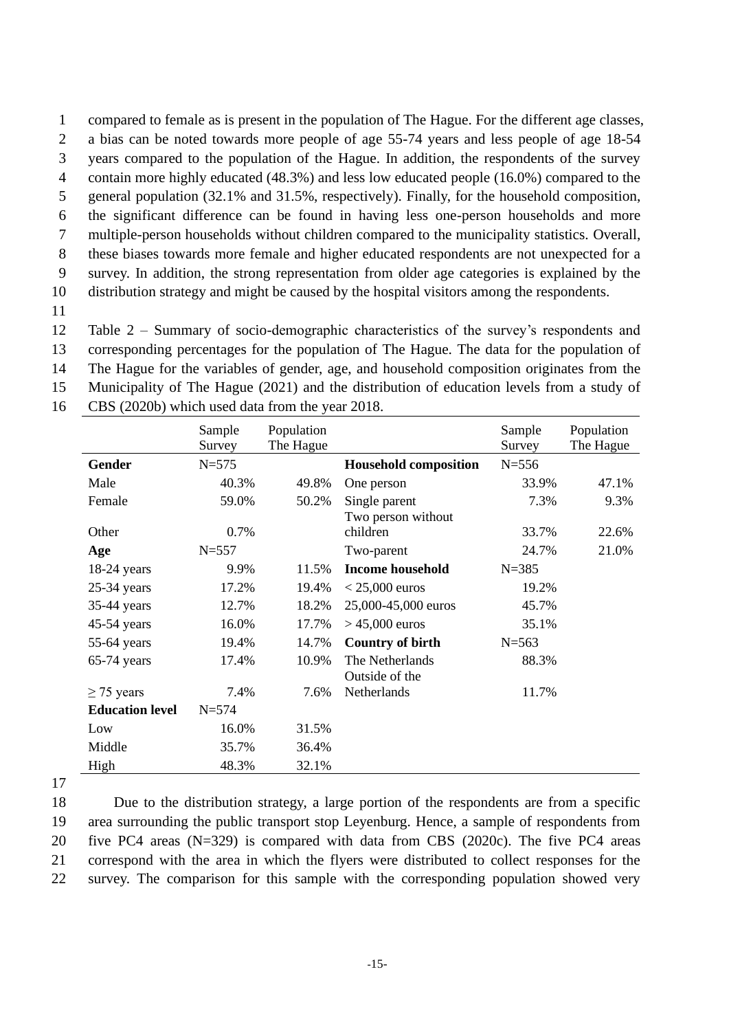1 compared to female as is present in the population of The Hague. For the different age classes, 2 a bias can be noted towards more people of age 55-74 years and less people of age 18-54 3 years compared to the population of the Hague. In addition, the respondents of the survey

4 contain more highly educated (48.3%) and less low educated people (16.0%) compared to the

5 general population (32.1% and 31.5%, respectively). Finally, for the household composition,

6 the significant difference can be found in having less one-person households and more

7 multiple-person households without children compared to the municipality statistics. Overall,

8 these biases towards more female and higher educated respondents are not unexpected for a 9 survey. In addition, the strong representation from older age categories is explained by the

10 distribution strategy and might be caused by the hospital visitors among the respondents.

11

 Table 2 – Summary of socio-demographic characteristics of the survey's respondents and corresponding percentages for the population of The Hague. The data for the population of The Hague for the variables of gender, age, and household composition originates from the Municipality of The Hague (2021) and the distribution of education levels from a study of

|                        | Sample    | Population |                              | Sample    | Population |
|------------------------|-----------|------------|------------------------------|-----------|------------|
|                        | Survey    | The Hague  |                              | Survey    | The Hague  |
| Gender                 | $N = 575$ |            | <b>Household composition</b> | $N = 556$ |            |
| Male                   | 40.3%     | 49.8%      | One person                   | 33.9%     | 47.1%      |
| Female                 | 59.0%     | 50.2%      | Single parent                | 7.3%      | 9.3%       |
|                        |           |            | Two person without           |           |            |
| Other                  | 0.7%      |            | children                     | 33.7%     | 22.6%      |
| Age                    | $N = 557$ |            | Two-parent                   | 24.7%     | 21.0%      |
| $18-24$ years          | 9.9%      | 11.5%      | <b>Income household</b>      | $N = 385$ |            |
| $25-34$ years          | 17.2%     | 19.4%      | $<$ 25,000 euros             | 19.2%     |            |
| $35-44$ years          | 12.7%     | 18.2%      | 25,000-45,000 euros          | 45.7%     |            |
| 45-54 years            | 16.0%     | 17.7%      | $> 45,000$ euros             | 35.1%     |            |
| $55-64$ years          | 19.4%     | 14.7%      | <b>Country of birth</b>      | $N = 563$ |            |
| $65-74$ years          | 17.4%     | 10.9%      | The Netherlands              | 88.3%     |            |
|                        |           |            | Outside of the               |           |            |
| $\geq$ 75 years        | 7.4%      | 7.6%       | Netherlands                  | 11.7%     |            |
| <b>Education level</b> | $N = 574$ |            |                              |           |            |
| Low                    | 16.0%     | 31.5%      |                              |           |            |
| Middle                 | 35.7%     | 36.4%      |                              |           |            |
| High                   | 48.3%     | 32.1%      |                              |           |            |

16 CBS (2020b) which used data from the year 2018.

17

 Due to the distribution strategy, a large portion of the respondents are from a specific area surrounding the public transport stop Leyenburg. Hence, a sample of respondents from five PC4 areas (N=329) is compared with data from CBS (2020c). The five PC4 areas correspond with the area in which the flyers were distributed to collect responses for the survey. The comparison for this sample with the corresponding population showed very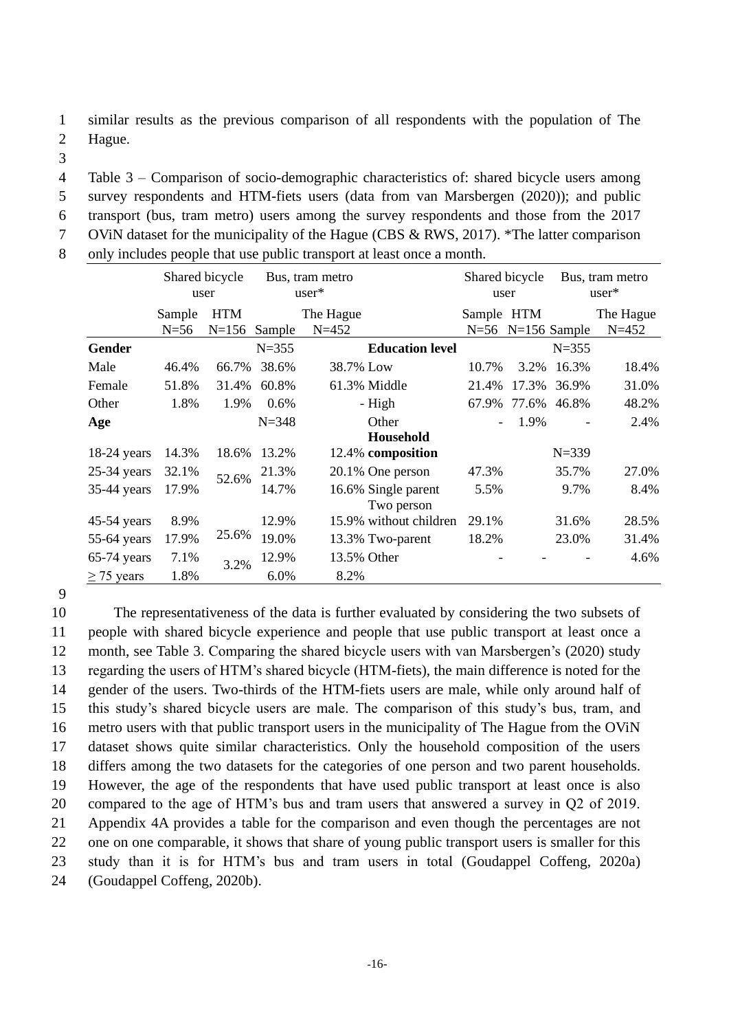1 similar results as the previous comparison of all respondents with the population of The

2 Hague.

3

4 Table 3 – Comparison of socio-demographic characteristics of: shared bicycle users among

5 survey respondents and HTM-fiets users (data from van Marsbergen (2020)); and public

6 transport (bus, tram metro) users among the survey respondents and those from the 2017

7 OViN dataset for the municipality of the Hague (CBS & RWS, 2017). \*The latter comparison

8 only includes people that use public transport at least once a month.

|                 | Shared bicycle<br>user |            | Bus, tram metro<br>$user*$ |           |                                   | Shared bicycle<br>user |       | Bus, tram metro<br>$user*$ |           |
|-----------------|------------------------|------------|----------------------------|-----------|-----------------------------------|------------------------|-------|----------------------------|-----------|
|                 | Sample                 | <b>HTM</b> |                            | The Hague |                                   | Sample HTM             |       |                            | The Hague |
|                 | $N=56$                 | $N = 156$  | Sample                     | $N = 452$ |                                   |                        |       | $N=56$ N=156 Sample        | $N = 452$ |
| Gender          |                        |            | $N = 355$                  |           | <b>Education level</b>            |                        |       | $N = 355$                  |           |
| Male            | 46.4%                  | 66.7%      | 38.6%                      | 38.7% Low |                                   | 10.7%                  | 3.2%  | 16.3%                      | 18.4%     |
| Female          | 51.8%                  | 31.4%      | 60.8%                      |           | 61.3% Middle                      | 21.4%                  | 17.3% | 36.9%                      | 31.0%     |
| Other           | 1.8%                   | 1.9%       | 0.6%                       |           | - High                            | 67.9%                  | 77.6% | 46.8%                      | 48.2%     |
| Age             |                        |            | $N = 348$                  |           | Other                             |                        | 1.9%  |                            | 2.4%      |
|                 |                        |            |                            |           | Household                         |                        |       |                            |           |
| $18-24$ years   | 14.3%                  | 18.6%      | 13.2%                      |           | 12.4% composition                 |                        |       | $N = 339$                  |           |
| $25-34$ years   | 32.1%                  | 52.6%      | 21.3%                      |           | 20.1% One person                  | 47.3%                  |       | 35.7%                      | 27.0%     |
| 35-44 years     | 17.9%                  |            | 14.7%                      |           | 16.6% Single parent<br>Two person | 5.5%                   |       | 9.7%                       | 8.4%      |
| $45-54$ years   | 8.9%                   |            | 12.9%                      |           | 15.9% without children            | 29.1%                  |       | 31.6%                      | 28.5%     |
| 55-64 years     | 17.9%                  | 25.6%      | 19.0%                      |           | 13.3% Two-parent                  | 18.2%                  |       | 23.0%                      | 31.4%     |
| $65-74$ years   | 7.1%                   | 3.2%       | 12.9%                      |           | 13.5% Other                       |                        |       |                            | 4.6%      |
| $\geq$ 75 years | 1.8%                   |            | 6.0%                       | 8.2%      |                                   |                        |       |                            |           |

9

 The representativeness of the data is further evaluated by considering the two subsets of people with shared bicycle experience and people that use public transport at least once a month, see Table 3. Comparing the shared bicycle users with van Marsbergen's (2020) study regarding the users of HTM's shared bicycle (HTM-fiets), the main difference is noted for the gender of the users. Two-thirds of the HTM-fiets users are male, while only around half of this study's shared bicycle users are male. The comparison of this study's bus, tram, and metro users with that public transport users in the municipality of The Hague from the OViN dataset shows quite similar characteristics. Only the household composition of the users differs among the two datasets for the categories of one person and two parent households. However, the age of the respondents that have used public transport at least once is also compared to the age of HTM's bus and tram users that answered a survey in Q2 of 2019. Appendix 4A provides a table for the comparison and even though the percentages are not one on one comparable, it shows that share of young public transport users is smaller for this study than it is for HTM's bus and tram users in total (Goudappel Coffeng, 2020a) (Goudappel Coffeng, 2020b).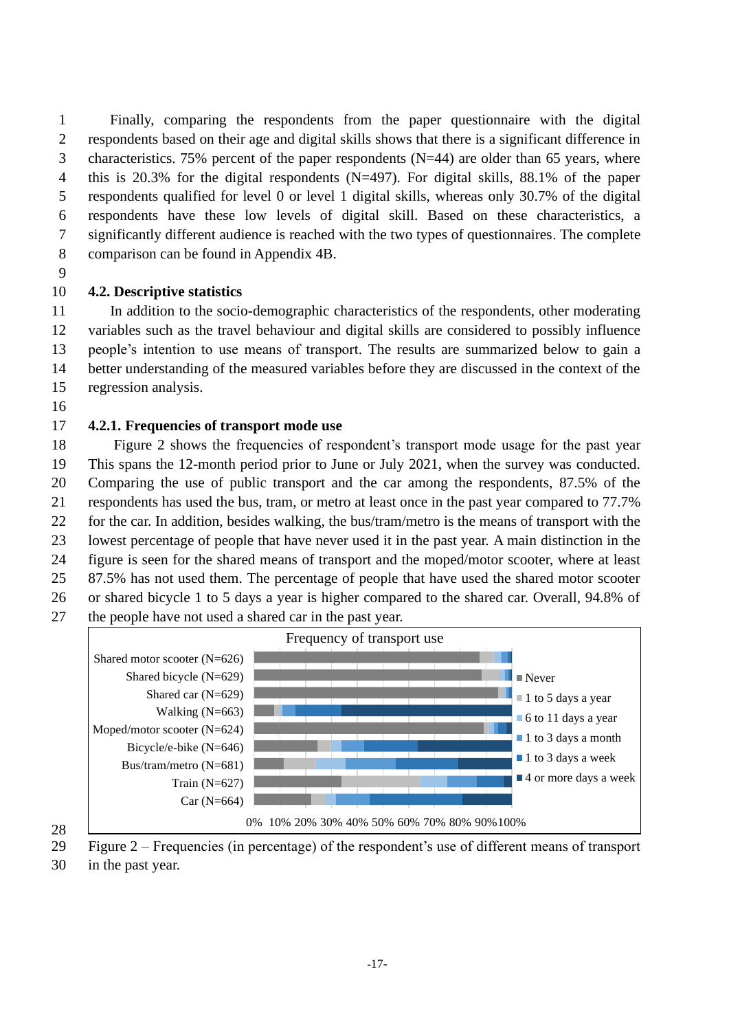Finally, comparing the respondents from the paper questionnaire with the digital respondents based on their age and digital skills shows that there is a significant difference in 3 characteristics. 75% percent of the paper respondents  $(N=44)$  are older than 65 years, where this is 20.3% for the digital respondents (N=497). For digital skills, 88.1% of the paper respondents qualified for level 0 or level 1 digital skills, whereas only 30.7% of the digital respondents have these low levels of digital skill. Based on these characteristics, a significantly different audience is reached with the two types of questionnaires. The complete comparison can be found in Appendix 4B.

## **4.2. Descriptive statistics**

 In addition to the socio-demographic characteristics of the respondents, other moderating variables such as the travel behaviour and digital skills are considered to possibly influence people's intention to use means of transport. The results are summarized below to gain a better understanding of the measured variables before they are discussed in the context of the regression analysis.

## **4.2.1. Frequencies of transport mode use**

 Figure 2 shows the frequencies of respondent's transport mode usage for the past year This spans the 12-month period prior to June or July 2021, when the survey was conducted. Comparing the use of public transport and the car among the respondents, 87.5% of the respondents has used the bus, tram, or metro at least once in the past year compared to 77.7% for the car. In addition, besides walking, the bus/tram/metro is the means of transport with the lowest percentage of people that have never used it in the past year. A main distinction in the figure is seen for the shared means of transport and the moped/motor scooter, where at least 87.5% has not used them. The percentage of people that have used the shared motor scooter or shared bicycle 1 to 5 days a year is higher compared to the shared car. Overall, 94.8% of the people have not used a shared car in the past year.



Figure 2 – Frequencies (in percentage) of the respondent's use of different means of transport

in the past year.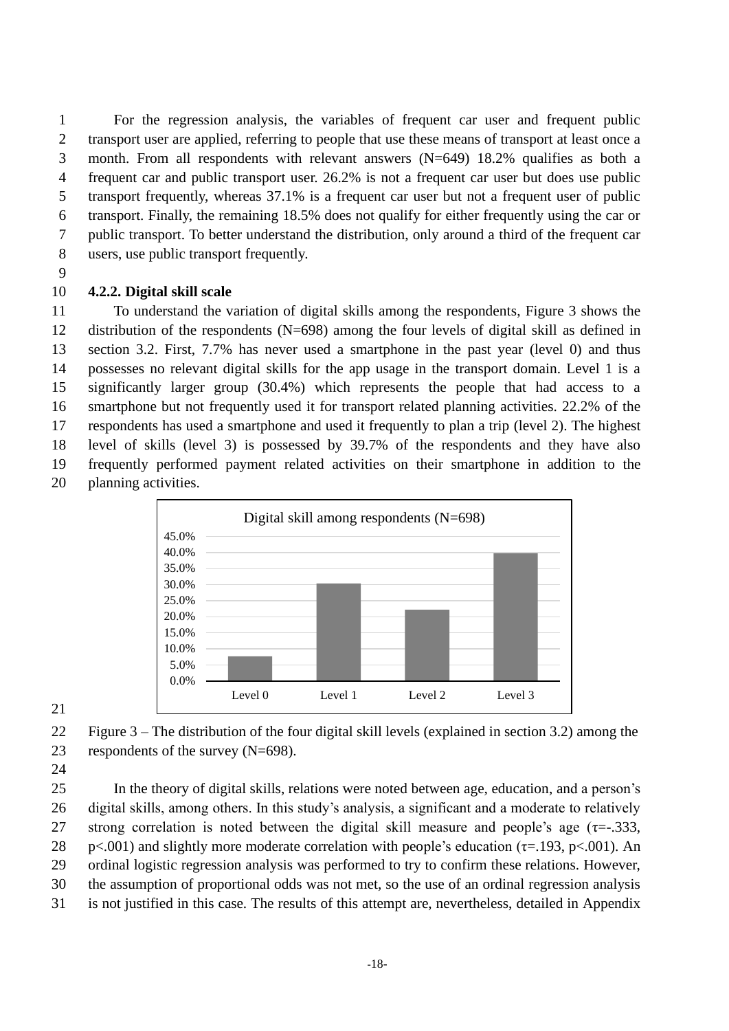For the regression analysis, the variables of frequent car user and frequent public transport user are applied, referring to people that use these means of transport at least once a month. From all respondents with relevant answers (N=649) 18.2% qualifies as both a frequent car and public transport user. 26.2% is not a frequent car user but does use public transport frequently, whereas 37.1% is a frequent car user but not a frequent user of public transport. Finally, the remaining 18.5% does not qualify for either frequently using the car or public transport. To better understand the distribution, only around a third of the frequent car users, use public transport frequently.

### 

## **4.2.2. Digital skill scale**

 To understand the variation of digital skills among the respondents, Figure 3 shows the distribution of the respondents (N=698) among the four levels of digital skill as defined in section 3.2. First, 7.7% has never used a smartphone in the past year (level 0) and thus possesses no relevant digital skills for the app usage in the transport domain. Level 1 is a significantly larger group (30.4%) which represents the people that had access to a smartphone but not frequently used it for transport related planning activities. 22.2% of the respondents has used a smartphone and used it frequently to plan a trip (level 2). The highest level of skills (level 3) is possessed by 39.7% of the respondents and they have also frequently performed payment related activities on their smartphone in addition to the planning activities.



## 

 Figure 3 – The distribution of the four digital skill levels (explained in section 3.2) among the respondents of the survey (N=698).

 In the theory of digital skills, relations were noted between age, education, and a person's digital skills, among others. In this study's analysis, a significant and a moderate to relatively 27 strong correlation is noted between the digital skill measure and people's age  $(\tau = 0.333, \tau)$ 28 p<.001) and slightly more moderate correlation with people's education ( $\tau$ =.193, p<.001). An ordinal logistic regression analysis was performed to try to confirm these relations. However, the assumption of proportional odds was not met, so the use of an ordinal regression analysis is not justified in this case. The results of this attempt are, nevertheless, detailed in Appendix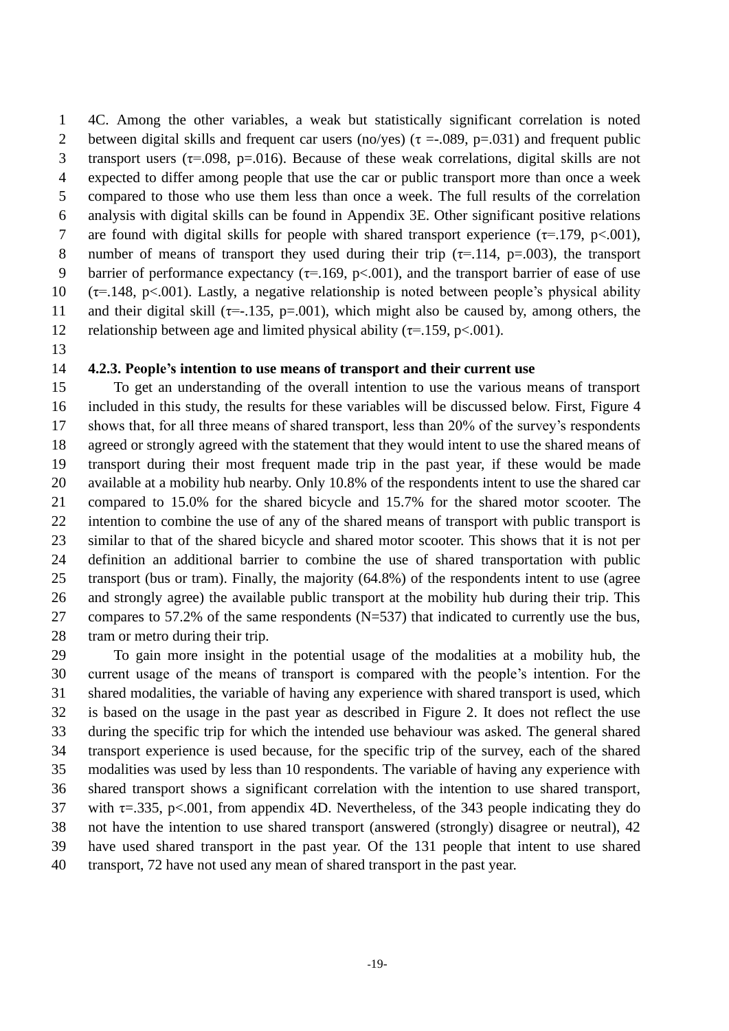4C. Among the other variables, a weak but statistically significant correlation is noted 2 between digital skills and frequent car users (no/yes) ( $\tau = .089$ , p=.031) and frequent public 3 transport users ( $\tau$ =.098, p=.016). Because of these weak correlations, digital skills are not expected to differ among people that use the car or public transport more than once a week compared to those who use them less than once a week. The full results of the correlation analysis with digital skills can be found in Appendix 3E. Other significant positive relations 7 are found with digital skills for people with shared transport experience  $(\tau = .179, \text{ p} < .001)$ , 8 number of means of transport they used during their trip  $(\tau = .114, p = .003)$ , the transport 9 barrier of performance expectancy ( $\tau$ =.169, p<.001), and the transport barrier of ease of use 10 ( $\tau$ =.148, p<.001). Lastly, a negative relationship is noted between people's physical ability 11 and their digital skill ( $\tau$ =-.135, p=.001), which might also be caused by, among others, the 12 relationship between age and limited physical ability ( $\tau$ =.159, p<.001).

#### **4.2.3. People's intention to use means of transport and their current use**

 To get an understanding of the overall intention to use the various means of transport included in this study, the results for these variables will be discussed below. First, Figure 4 shows that, for all three means of shared transport, less than 20% of the survey's respondents agreed or strongly agreed with the statement that they would intent to use the shared means of transport during their most frequent made trip in the past year, if these would be made available at a mobility hub nearby. Only 10.8% of the respondents intent to use the shared car compared to 15.0% for the shared bicycle and 15.7% for the shared motor scooter. The intention to combine the use of any of the shared means of transport with public transport is similar to that of the shared bicycle and shared motor scooter. This shows that it is not per definition an additional barrier to combine the use of shared transportation with public transport (bus or tram). Finally, the majority (64.8%) of the respondents intent to use (agree and strongly agree) the available public transport at the mobility hub during their trip. This compares to 57.2% of the same respondents (N=537) that indicated to currently use the bus, tram or metro during their trip.

 To gain more insight in the potential usage of the modalities at a mobility hub, the current usage of the means of transport is compared with the people's intention. For the shared modalities, the variable of having any experience with shared transport is used, which is based on the usage in the past year as described in Figure 2. It does not reflect the use during the specific trip for which the intended use behaviour was asked. The general shared transport experience is used because, for the specific trip of the survey, each of the shared modalities was used by less than 10 respondents. The variable of having any experience with shared transport shows a significant correlation with the intention to use shared transport, 37 with  $\tau = 335$ , p<.001, from appendix 4D. Nevertheless, of the 343 people indicating they do not have the intention to use shared transport (answered (strongly) disagree or neutral), 42 have used shared transport in the past year. Of the 131 people that intent to use shared transport, 72 have not used any mean of shared transport in the past year.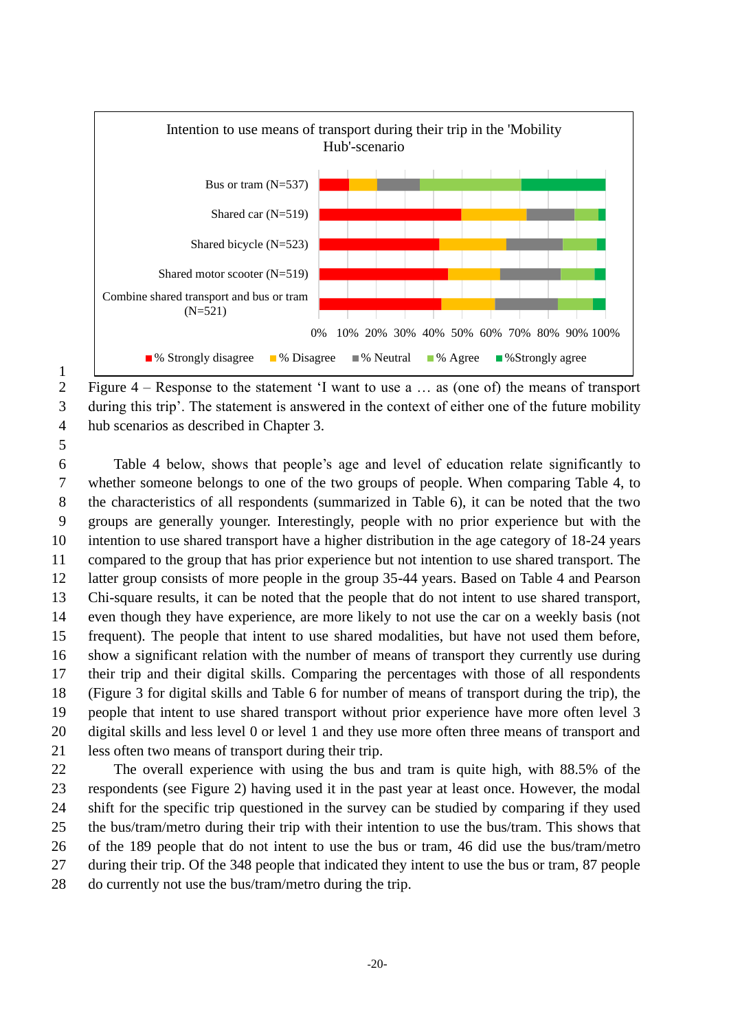

 Figure 4 – Response to the statement 'I want to use a … as (one of) the means of transport during this trip'. The statement is answered in the context of either one of the future mobility hub scenarios as described in Chapter 3.

 Table 4 below, shows that people's age and level of education relate significantly to whether someone belongs to one of the two groups of people. When comparing Table 4, to the characteristics of all respondents (summarized in Table 6), it can be noted that the two groups are generally younger. Interestingly, people with no prior experience but with the intention to use shared transport have a higher distribution in the age category of 18-24 years compared to the group that has prior experience but not intention to use shared transport. The latter group consists of more people in the group 35-44 years. Based on Table 4 and Pearson Chi-square results, it can be noted that the people that do not intent to use shared transport, even though they have experience, are more likely to not use the car on a weekly basis (not frequent). The people that intent to use shared modalities, but have not used them before, show a significant relation with the number of means of transport they currently use during their trip and their digital skills. Comparing the percentages with those of all respondents (Figure 3 for digital skills and Table 6 for number of means of transport during the trip), the people that intent to use shared transport without prior experience have more often level 3 digital skills and less level 0 or level 1 and they use more often three means of transport and less often two means of transport during their trip.

 The overall experience with using the bus and tram is quite high, with 88.5% of the respondents (see Figure 2) having used it in the past year at least once. However, the modal shift for the specific trip questioned in the survey can be studied by comparing if they used the bus/tram/metro during their trip with their intention to use the bus/tram. This shows that of the 189 people that do not intent to use the bus or tram, 46 did use the bus/tram/metro during their trip. Of the 348 people that indicated they intent to use the bus or tram, 87 people do currently not use the bus/tram/metro during the trip.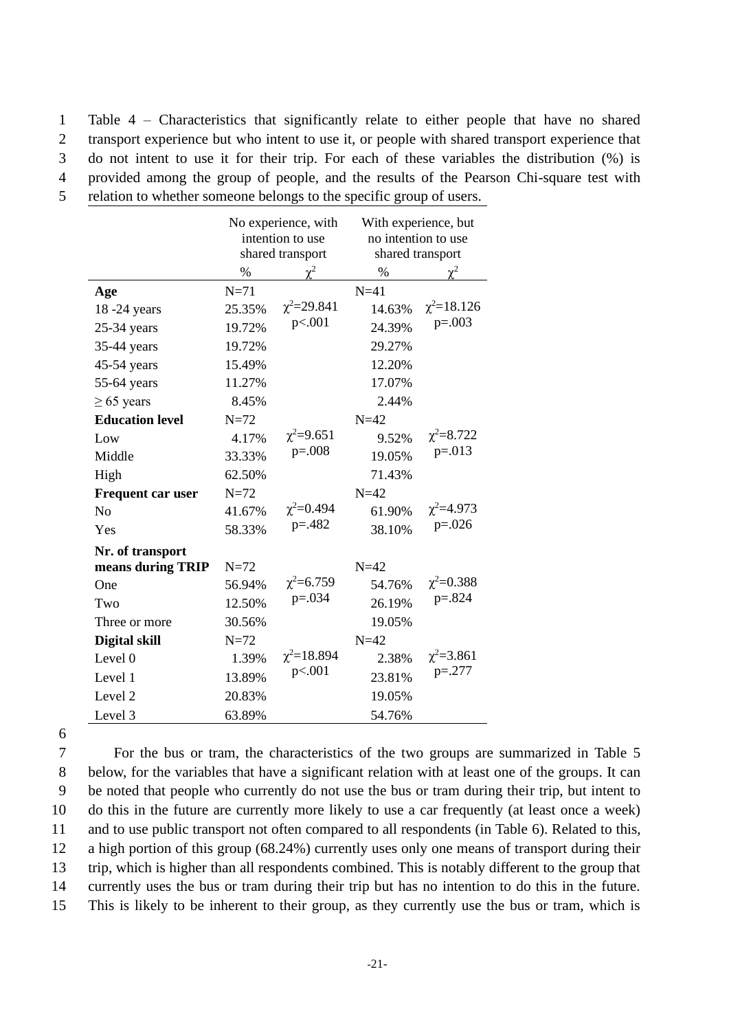Table 4 – Characteristics that significantly relate to either people that have no shared transport experience but who intent to use it, or people with shared transport experience that do not intent to use it for their trip. For each of these variables the distribution (%) is provided among the group of people, and the results of the Pearson Chi-square test with relation to whether someone belongs to the specific group of users.

|                          |        | No experience, with<br>intention to use<br>shared transport | With experience, but<br>no intention to use<br>shared transport |                   |  |
|--------------------------|--------|-------------------------------------------------------------|-----------------------------------------------------------------|-------------------|--|
|                          | $\%$   |                                                             | $\%$                                                            |                   |  |
| Age                      | $N=71$ |                                                             | $N=41$                                                          |                   |  |
| 18 -24 years             | 25.35% | $\chi^2 = 29.841$                                           | 14.63%                                                          | $\chi^2 = 18.126$ |  |
| $25-34$ years            | 19.72% | p<.001                                                      | 24.39%                                                          | $p=.003$          |  |
| 35-44 years              | 19.72% |                                                             | 29.27%                                                          |                   |  |
| 45-54 years              | 15.49% |                                                             | 12.20%                                                          |                   |  |
| 55-64 years              | 11.27% |                                                             | 17.07%                                                          |                   |  |
| $\geq 65$ years          | 8.45%  |                                                             | 2.44%                                                           |                   |  |
| <b>Education level</b>   | $N=72$ |                                                             | $N=42$                                                          |                   |  |
| Low                      | 4.17%  | $\chi^2 = 9.651$                                            | 9.52%                                                           | $\chi^2 = 8.722$  |  |
| Middle                   | 33.33% | $p=.008$                                                    | 19.05%                                                          | $p=.013$          |  |
| High                     | 62.50% |                                                             | 71.43%                                                          |                   |  |
| <b>Frequent car user</b> | $N=72$ |                                                             | $N=42$                                                          |                   |  |
| N <sub>0</sub>           | 41.67% | $\chi^2 = 0.494$                                            | 61.90%                                                          | $\chi^2 = 4.973$  |  |
| Yes                      | 58.33% | $p = 0.482$                                                 | 38.10%                                                          | $p=.026$          |  |
| Nr. of transport         |        |                                                             |                                                                 |                   |  |
| means during TRIP        | $N=72$ |                                                             | $N=42$                                                          |                   |  |
| One                      | 56.94% | $\chi^2 = 6.759$                                            | 54.76%                                                          | $\chi^2 = 0.388$  |  |
| Two                      | 12.50% | $p = 0.034$                                                 | 26.19%                                                          | $p=.824$          |  |
| Three or more            | 30.56% |                                                             | 19.05%                                                          |                   |  |
| Digital skill            | $N=72$ |                                                             | $N=42$                                                          |                   |  |
| Level 0                  | 1.39%  | $\chi^2 = 18.894$                                           | 2.38%                                                           | $\chi^2 = 3.861$  |  |
| Level 1                  | 13.89% | p<.001                                                      | 23.81%                                                          | $p=.277$          |  |
| Level <sub>2</sub>       | 20.83% |                                                             | 19.05%                                                          |                   |  |
| Level 3                  | 63.89% |                                                             | 54.76%                                                          |                   |  |

6

 For the bus or tram, the characteristics of the two groups are summarized in Table 5 below, for the variables that have a significant relation with at least one of the groups. It can be noted that people who currently do not use the bus or tram during their trip, but intent to do this in the future are currently more likely to use a car frequently (at least once a week) and to use public transport not often compared to all respondents (in Table 6). Related to this, a high portion of this group (68.24%) currently uses only one means of transport during their trip, which is higher than all respondents combined. This is notably different to the group that currently uses the bus or tram during their trip but has no intention to do this in the future. This is likely to be inherent to their group, as they currently use the bus or tram, which is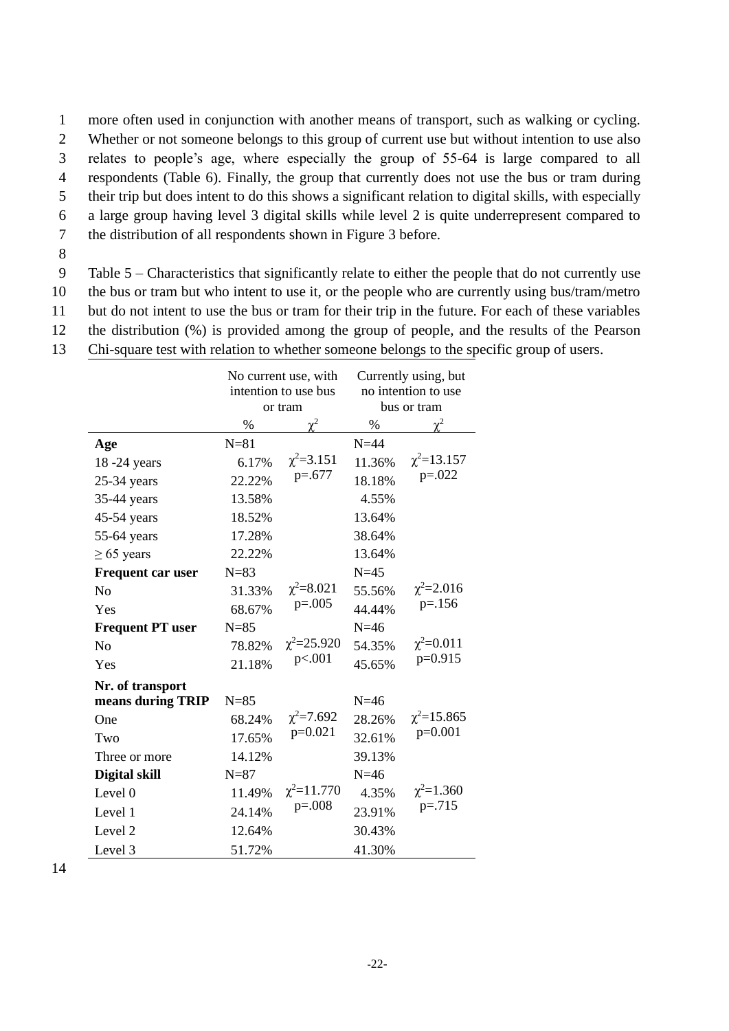1 more often used in conjunction with another means of transport, such as walking or cycling.

2 Whether or not someone belongs to this group of current use but without intention to use also

3 relates to people's age, where especially the group of 55-64 is large compared to all

4 respondents (Table 6). Finally, the group that currently does not use the bus or tram during

5 their trip but does intent to do this shows a significant relation to digital skills, with especially

6 a large group having level 3 digital skills while level 2 is quite underrepresent compared to

7 the distribution of all respondents shown in Figure 3 before.

8

9 Table 5 – Characteristics that significantly relate to either the people that do not currently use 10 the bus or tram but who intent to use it, or the people who are currently using bus/tram/metro

11 but do not intent to use the bus or tram for their trip in the future. For each of these variables

12 the distribution (%) is provided among the group of people, and the results of the Pearson

13 Chi-square test with relation to whether someone belongs to the specific group of users.

|                         |          | No current use, with<br>intention to use bus<br>or tram | Currently using, but<br>no intention to use<br>bus or tram |                   |  |
|-------------------------|----------|---------------------------------------------------------|------------------------------------------------------------|-------------------|--|
|                         | %        | $\gamma^2$                                              | %                                                          | $\chi^2$          |  |
| Age                     | $N = 81$ |                                                         | $N=44$                                                     |                   |  |
| 18 -24 years            | 6.17%    | $\chi^2 = 3.151$                                        | 11.36%                                                     | $\chi^2$ =13.157  |  |
| $25-34$ years           | 22.22%   | $p=.677$                                                | 18.18%                                                     | $p=.022$          |  |
| 35-44 years             | 13.58%   |                                                         | 4.55%                                                      |                   |  |
| $45-54$ years           | 18.52%   |                                                         | 13.64%                                                     |                   |  |
| 55-64 years             | 17.28%   |                                                         | 38.64%                                                     |                   |  |
| $\geq 65$ years         | 22.22%   |                                                         | 13.64%                                                     |                   |  |
| Frequent car user       | $N=83$   |                                                         | $N=45$                                                     |                   |  |
| N <sub>0</sub>          | 31.33%   | $\chi^2 = 8.021$                                        | 55.56%                                                     | $\chi^2 = 2.016$  |  |
| Yes                     | 68.67%   | $p=.005$                                                | 44.44%                                                     | $p = 156$         |  |
| <b>Frequent PT user</b> | $N=85$   |                                                         | $N=46$                                                     |                   |  |
| N <sub>o</sub>          | 78.82%   | $\chi^2 = 25.920$                                       | 54.35%                                                     | $\chi^2 = 0.011$  |  |
| Yes                     | 21.18%   | p<.001                                                  | 45.65%                                                     | $p=0.915$         |  |
| Nr. of transport        |          |                                                         |                                                            |                   |  |
| means during TRIP       | $N=85$   |                                                         | $N=46$                                                     |                   |  |
| One                     | 68.24%   | $\chi^2 = 7.692$                                        | 28.26%                                                     | $\chi^2 = 15.865$ |  |
| Two                     | 17.65%   | $p=0.021$                                               | 32.61%                                                     | $p=0.001$         |  |
| Three or more           | 14.12%   |                                                         | 39.13%                                                     |                   |  |
| Digital skill           | $N=87$   |                                                         | $N=46$                                                     |                   |  |
| Level 0                 | 11.49%   | $\chi^2 = 11.770$                                       | 4.35%                                                      | $\chi^2 = 1.360$  |  |
| Level 1                 | 24.14%   | $p=.008$                                                | 23.91%                                                     | $p = 0.715$       |  |
| Level 2                 | 12.64%   |                                                         | 30.43%                                                     |                   |  |
| Level 3                 | 51.72%   |                                                         | 41.30%                                                     |                   |  |

14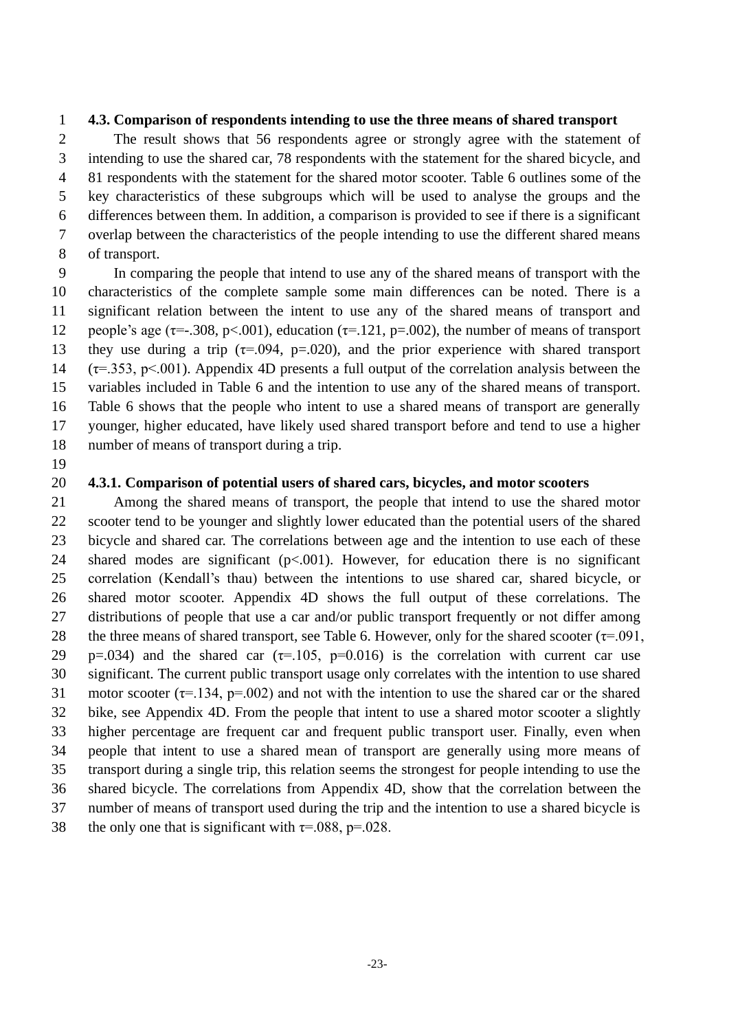#### **4.3. Comparison of respondents intending to use the three means of shared transport**

 The result shows that 56 respondents agree or strongly agree with the statement of intending to use the shared car, 78 respondents with the statement for the shared bicycle, and 81 respondents with the statement for the shared motor scooter. Table 6 outlines some of the key characteristics of these subgroups which will be used to analyse the groups and the differences between them. In addition, a comparison is provided to see if there is a significant overlap between the characteristics of the people intending to use the different shared means of transport.

 In comparing the people that intend to use any of the shared means of transport with the characteristics of the complete sample some main differences can be noted. There is a significant relation between the intent to use any of the shared means of transport and 12 people's age ( $\tau$ =-.308, p<.001), education ( $\tau$ =.121, p=.002), the number of means of transport 13 they use during a trip ( $\tau = .094$ ,  $p = .020$ ), and the prior experience with shared transport (τ=.353, p<.001). Appendix 4D presents a full output of the correlation analysis between the variables included in Table 6 and the intention to use any of the shared means of transport. Table 6 shows that the people who intent to use a shared means of transport are generally younger, higher educated, have likely used shared transport before and tend to use a higher number of means of transport during a trip.

#### **4.3.1. Comparison of potential users of shared cars, bicycles, and motor scooters**

 Among the shared means of transport, the people that intend to use the shared motor scooter tend to be younger and slightly lower educated than the potential users of the shared bicycle and shared car. The correlations between age and the intention to use each of these 24 shared modes are significant  $(p<0.001)$ . However, for education there is no significant correlation (Kendall's thau) between the intentions to use shared car, shared bicycle, or shared motor scooter. Appendix 4D shows the full output of these correlations. The distributions of people that use a car and/or public transport frequently or not differ among 28 the three means of shared transport, see Table 6. However, only for the shared scooter  $(\tau = .091, )$ 29 p=.034) and the shared car  $(\tau=105, p=0.016)$  is the correlation with current car use significant. The current public transport usage only correlates with the intention to use shared 31 motor scooter ( $\tau$ =.134, p=.002) and not with the intention to use the shared car or the shared bike, see Appendix 4D. From the people that intent to use a shared motor scooter a slightly higher percentage are frequent car and frequent public transport user. Finally, even when people that intent to use a shared mean of transport are generally using more means of transport during a single trip, this relation seems the strongest for people intending to use the shared bicycle. The correlations from Appendix 4D, show that the correlation between the number of means of transport used during the trip and the intention to use a shared bicycle is

38 the only one that is significant with  $\tau = .088$ ,  $p = .028$ .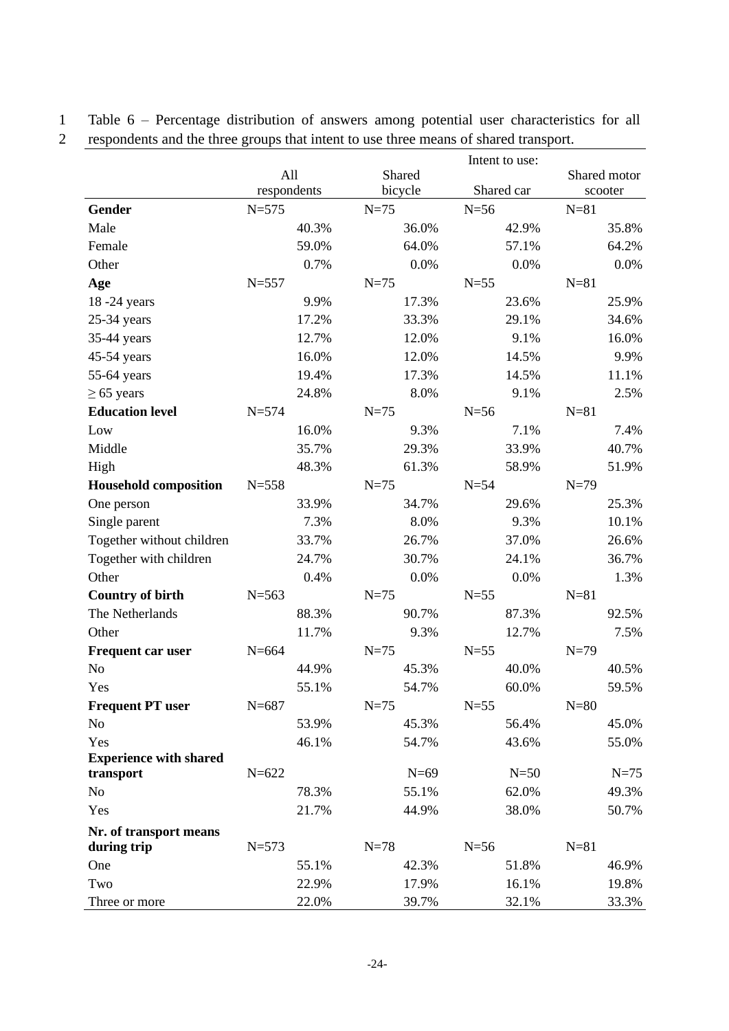1 Table 6 – Percentage distribution of answers among potential user characteristics for all

2 respondents and the three groups that intent to use three means of shared transport.

|                               |             |          | Intent to use: |              |
|-------------------------------|-------------|----------|----------------|--------------|
|                               | All         | Shared   |                | Shared motor |
|                               | respondents | bicycle  | Shared car     | scooter      |
| Gender                        | $N = 575$   | $N = 75$ | $N=56$         | $N=81$       |
| Male                          | 40.3%       | 36.0%    | 42.9%          | 35.8%        |
| Female                        | 59.0%       | 64.0%    | 57.1%          | 64.2%        |
| Other                         | 0.7%        | 0.0%     | 0.0%           | 0.0%         |
| Age                           | $N = 557$   | $N=75$   | $N=55$         | $N=81$       |
| 18-24 years                   | 9.9%        | 17.3%    | 23.6%          | 25.9%        |
| 25-34 years                   | 17.2%       | 33.3%    | 29.1%          | 34.6%        |
| 35-44 years                   | 12.7%       | 12.0%    | 9.1%           | 16.0%        |
| 45-54 years                   | 16.0%       | 12.0%    | 14.5%          | 9.9%         |
| 55-64 years                   | 19.4%       | 17.3%    | 14.5%          | 11.1%        |
| $\geq 65$ years               | 24.8%       | 8.0%     | 9.1%           | 2.5%         |
| <b>Education level</b>        | $N = 574$   | $N=75$   | $N=56$         | $N=81$       |
| Low                           | 16.0%       | 9.3%     | 7.1%           | 7.4%         |
| Middle                        | 35.7%       | 29.3%    | 33.9%          | 40.7%        |
| High                          | 48.3%       | 61.3%    | 58.9%          | 51.9%        |
| <b>Household composition</b>  | $N = 558$   | $N=75$   | $N=54$         | $N=79$       |
| One person                    | 33.9%       | 34.7%    | 29.6%          | 25.3%        |
| Single parent                 | 7.3%        | 8.0%     | 9.3%           | 10.1%        |
| Together without children     | 33.7%       | 26.7%    | 37.0%          | 26.6%        |
| Together with children        | 24.7%       | 30.7%    | 24.1%          | 36.7%        |
| Other                         | 0.4%        | 0.0%     | 0.0%           | 1.3%         |
| <b>Country of birth</b>       | $N = 563$   | $N=75$   | $N=55$         | $N=81$       |
| The Netherlands               | 88.3%       | 90.7%    | 87.3%          | 92.5%        |
| Other                         | 11.7%       | 9.3%     | 12.7%          | 7.5%         |
| <b>Frequent car user</b>      | $N = 664$   | $N=75$   | $N=55$         | $N=79$       |
| N <sub>o</sub>                | 44.9%       | 45.3%    | 40.0%          | 40.5%        |
| Yes                           | 55.1%       | 54.7%    | 60.0%          | 59.5%        |
| <b>Frequent PT user</b>       | $N = 687$   | $N=75$   | $N=55$         | $N=80$       |
| N <sub>o</sub>                | 53.9%       | 45.3%    | 56.4%          | 45.0%        |
| Yes                           | 46.1%       | 54.7%    | 43.6%          | 55.0%        |
| <b>Experience with shared</b> |             |          |                |              |
| transport                     | $N = 622$   | $N=69$   | $N=50$         | $N = 75$     |
| No                            | 78.3%       | 55.1%    | 62.0%          | 49.3%        |
| Yes                           | 21.7%       | 44.9%    | 38.0%          | 50.7%        |
| Nr. of transport means        |             |          |                |              |
| during trip                   | $N = 573$   | $N = 78$ | $N=56$         | $N=81$       |
| One                           | 55.1%       | 42.3%    | 51.8%          | 46.9%        |
| Two                           | 22.9%       | 17.9%    | 16.1%          | 19.8%        |
| Three or more                 | 22.0%       | 39.7%    | 32.1%          | 33.3%        |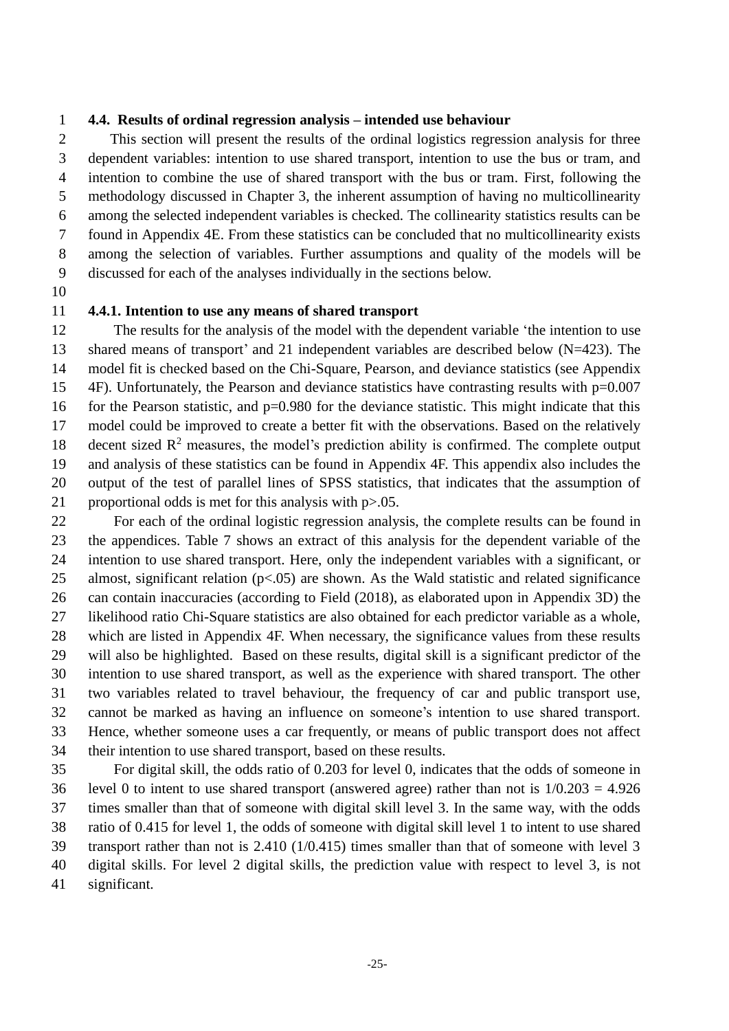#### **4.4. Results of ordinal regression analysis – intended use behaviour**

 This section will present the results of the ordinal logistics regression analysis for three dependent variables: intention to use shared transport, intention to use the bus or tram, and intention to combine the use of shared transport with the bus or tram. First, following the methodology discussed in Chapter 3, the inherent assumption of having no multicollinearity among the selected independent variables is checked. The collinearity statistics results can be found in Appendix 4E. From these statistics can be concluded that no multicollinearity exists among the selection of variables. Further assumptions and quality of the models will be discussed for each of the analyses individually in the sections below.

#### **4.4.1. Intention to use any means of shared transport**

 The results for the analysis of the model with the dependent variable 'the intention to use shared means of transport' and 21 independent variables are described below (N=423). The model fit is checked based on the Chi-Square, Pearson, and deviance statistics (see Appendix 4F). Unfortunately, the Pearson and deviance statistics have contrasting results with p=0.007 16 for the Pearson statistic, and p=0.980 for the deviance statistic. This might indicate that this model could be improved to create a better fit with the observations. Based on the relatively 18 decent sized  $\mathbb{R}^2$  measures, the model's prediction ability is confirmed. The complete output and analysis of these statistics can be found in Appendix 4F. This appendix also includes the output of the test of parallel lines of SPSS statistics, that indicates that the assumption of 21 proportional odds is met for this analysis with  $p > 0.05$ .

 For each of the ordinal logistic regression analysis, the complete results can be found in the appendices. Table 7 shows an extract of this analysis for the dependent variable of the intention to use shared transport. Here, only the independent variables with a significant, or almost, significant relation (p<.05) are shown. As the Wald statistic and related significance can contain inaccuracies (according to Field (2018), as elaborated upon in Appendix 3D) the likelihood ratio Chi-Square statistics are also obtained for each predictor variable as a whole, which are listed in Appendix 4F. When necessary, the significance values from these results will also be highlighted. Based on these results, digital skill is a significant predictor of the intention to use shared transport, as well as the experience with shared transport. The other two variables related to travel behaviour, the frequency of car and public transport use, cannot be marked as having an influence on someone's intention to use shared transport. Hence, whether someone uses a car frequently, or means of public transport does not affect their intention to use shared transport, based on these results.

 For digital skill, the odds ratio of 0.203 for level 0, indicates that the odds of someone in level 0 to intent to use shared transport (answered agree) rather than not is 1/0.203 = 4.926 times smaller than that of someone with digital skill level 3. In the same way, with the odds ratio of 0.415 for level 1, the odds of someone with digital skill level 1 to intent to use shared transport rather than not is 2.410 (1/0.415) times smaller than that of someone with level 3 digital skills. For level 2 digital skills, the prediction value with respect to level 3, is not significant.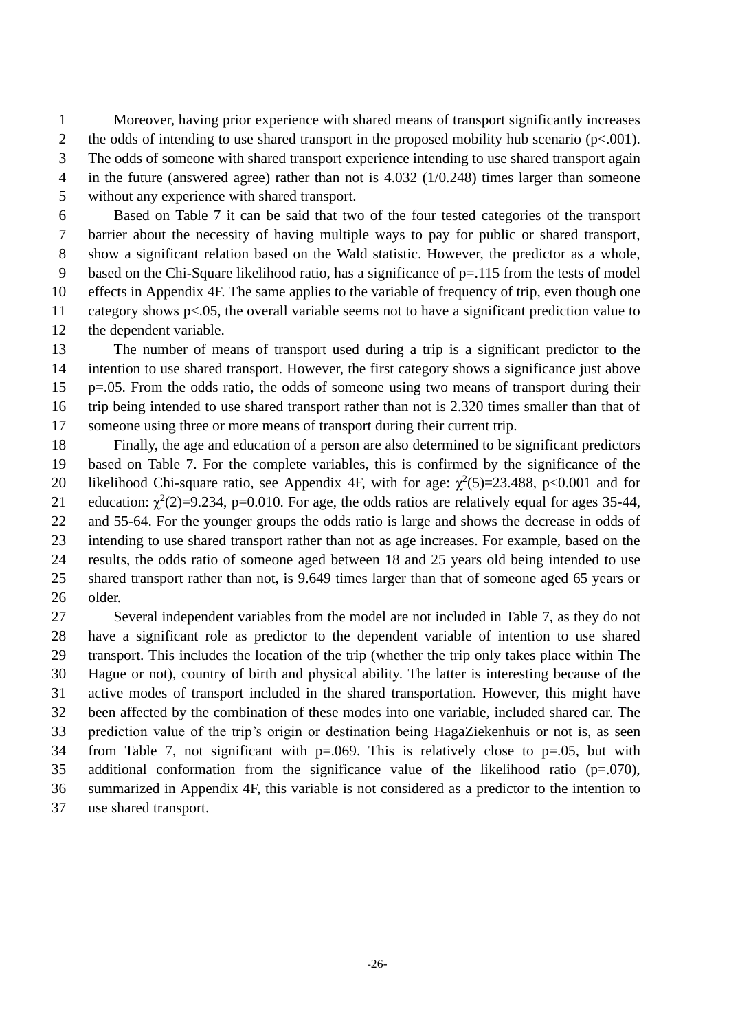Moreover, having prior experience with shared means of transport significantly increases 2 the odds of intending to use shared transport in the proposed mobility hub scenario ( $p<.001$ ). The odds of someone with shared transport experience intending to use shared transport again in the future (answered agree) rather than not is 4.032 (1/0.248) times larger than someone without any experience with shared transport.

 Based on Table 7 it can be said that two of the four tested categories of the transport barrier about the necessity of having multiple ways to pay for public or shared transport, show a significant relation based on the Wald statistic. However, the predictor as a whole, 9 based on the Chi-Square likelihood ratio, has a significance of  $p=115$  from the tests of model effects in Appendix 4F. The same applies to the variable of frequency of trip, even though one category shows p<.05, the overall variable seems not to have a significant prediction value to the dependent variable.

 The number of means of transport used during a trip is a significant predictor to the intention to use shared transport. However, the first category shows a significance just above p=.05. From the odds ratio, the odds of someone using two means of transport during their trip being intended to use shared transport rather than not is 2.320 times smaller than that of someone using three or more means of transport during their current trip.

 Finally, the age and education of a person are also determined to be significant predictors based on Table 7. For the complete variables, this is confirmed by the significance of the 20 likelihood Chi-square ratio, see Appendix 4F, with for age:  $\chi^2(5)=23.488$ , p<0.001 and for 21 education:  $\chi^2(2)=9.234$ , p=0.010. For age, the odds ratios are relatively equal for ages 35-44, and 55-64. For the younger groups the odds ratio is large and shows the decrease in odds of intending to use shared transport rather than not as age increases. For example, based on the results, the odds ratio of someone aged between 18 and 25 years old being intended to use shared transport rather than not, is 9.649 times larger than that of someone aged 65 years or older.

 Several independent variables from the model are not included in Table 7, as they do not have a significant role as predictor to the dependent variable of intention to use shared transport. This includes the location of the trip (whether the trip only takes place within The Hague or not), country of birth and physical ability. The latter is interesting because of the active modes of transport included in the shared transportation. However, this might have been affected by the combination of these modes into one variable, included shared car. The prediction value of the trip's origin or destination being HagaZiekenhuis or not is, as seen from Table 7, not significant with p=.069. This is relatively close to p=.05, but with additional conformation from the significance value of the likelihood ratio (p=.070), summarized in Appendix 4F, this variable is not considered as a predictor to the intention to use shared transport.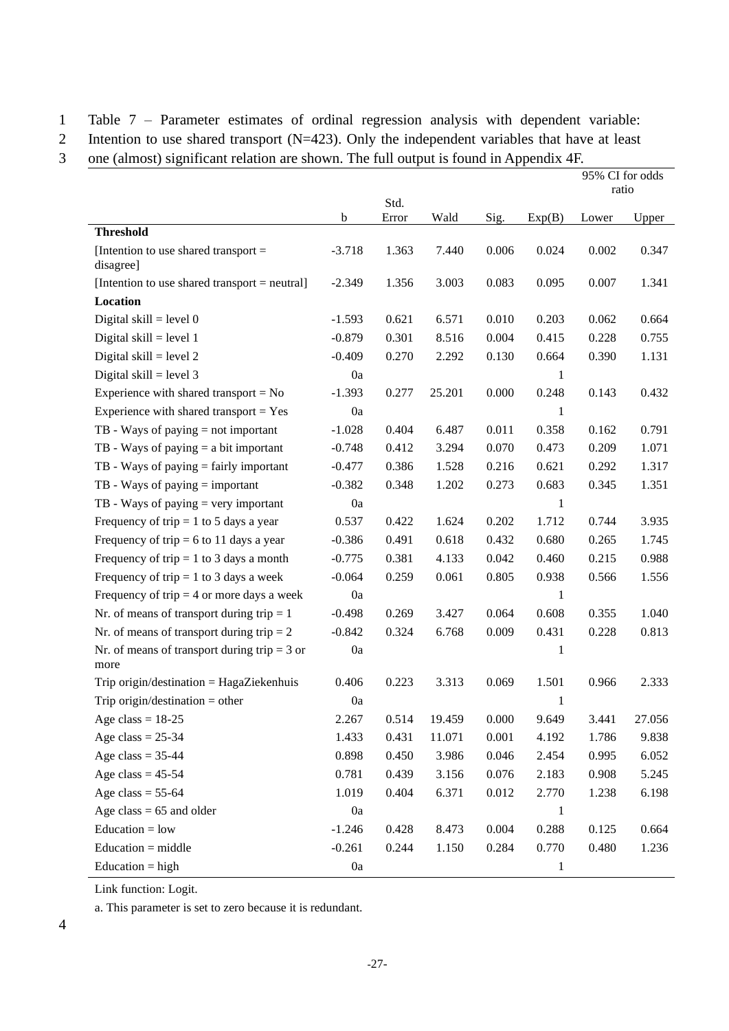1 Table 7 – Parameter estimates of ordinal regression analysis with dependent variable:

2 Intention to use shared transport (N=423). Only the independent variables that have at least

3 one (almost) significant relation are shown. The full output is found in Appendix 4F.

|                                                        |          |       |        |       |        | 95% CI for odds |        |
|--------------------------------------------------------|----------|-------|--------|-------|--------|-----------------|--------|
|                                                        |          | Std.  |        |       |        | ratio           |        |
|                                                        | b        | Error | Wald   | Sig.  | Exp(B) | Lower           | Upper  |
| <b>Threshold</b>                                       |          |       |        |       |        |                 |        |
| [Intention to use shared transport $=$<br>disagree]    | $-3.718$ | 1.363 | 7.440  | 0.006 | 0.024  | 0.002           | 0.347  |
| [Intention to use shared transport = neutral]          | $-2.349$ | 1.356 | 3.003  | 0.083 | 0.095  | 0.007           | 1.341  |
| Location                                               |          |       |        |       |        |                 |        |
| Digital skill = level $0$                              | $-1.593$ | 0.621 | 6.571  | 0.010 | 0.203  | 0.062           | 0.664  |
| Digital skill = level $1$                              | $-0.879$ | 0.301 | 8.516  | 0.004 | 0.415  | 0.228           | 0.755  |
| Digital skill = level $2$                              | $-0.409$ | 0.270 | 2.292  | 0.130 | 0.664  | 0.390           | 1.131  |
| Digital skill = level $3$                              | 0a       |       |        |       | 1      |                 |        |
| Experience with shared transport $= No$                | $-1.393$ | 0.277 | 25.201 | 0.000 | 0.248  | 0.143           | 0.432  |
| Experience with shared transport $=$ Yes               | 0a       |       |        |       | 1      |                 |        |
| $TB$ - Ways of paying $=$ not important                | $-1.028$ | 0.404 | 6.487  | 0.011 | 0.358  | 0.162           | 0.791  |
| TB - Ways of paying $=$ a bit important                | $-0.748$ | 0.412 | 3.294  | 0.070 | 0.473  | 0.209           | 1.071  |
| $TB$ - Ways of paying $=$ fairly important             | $-0.477$ | 0.386 | 1.528  | 0.216 | 0.621  | 0.292           | 1.317  |
| $TB$ - Ways of paying $=$ important                    | $-0.382$ | 0.348 | 1.202  | 0.273 | 0.683  | 0.345           | 1.351  |
| $TB$ - Ways of paying $=$ very important               | 0a       |       |        |       | 1      |                 |        |
| Frequency of trip = 1 to 5 days a year                 | 0.537    | 0.422 | 1.624  | 0.202 | 1.712  | 0.744           | 3.935  |
| Frequency of trip = 6 to 11 days a year                | $-0.386$ | 0.491 | 0.618  | 0.432 | 0.680  | 0.265           | 1.745  |
| Frequency of trip = 1 to 3 days a month                | $-0.775$ | 0.381 | 4.133  | 0.042 | 0.460  | 0.215           | 0.988  |
| Frequency of trip = 1 to 3 days a week                 | $-0.064$ | 0.259 | 0.061  | 0.805 | 0.938  | 0.566           | 1.556  |
| Frequency of trip $=$ 4 or more days a week            | 0a       |       |        |       | 1      |                 |        |
| Nr. of means of transport during trip $= 1$            | $-0.498$ | 0.269 | 3.427  | 0.064 | 0.608  | 0.355           | 1.040  |
| Nr. of means of transport during trip $= 2$            | $-0.842$ | 0.324 | 6.768  | 0.009 | 0.431  | 0.228           | 0.813  |
| Nr. of means of transport during trip = $3$ or<br>more | 0a       |       |        |       | 1      |                 |        |
| Trip origin/destination = $HagaZiekenhuis$             | 0.406    | 0.223 | 3.313  | 0.069 | 1.501  | 0.966           | 2.333  |
| Trip origin/destination = other                        | 0a       |       |        |       | 1      |                 |        |
| Age class = $18-25$                                    | 2.267    | 0.514 | 19.459 | 0.000 | 9.649  | 3.441           | 27.056 |
| Age class = $25-34$                                    | 1.433    | 0.431 | 11.071 | 0.001 | 4.192  | 1.786           | 9.838  |
| Age class = $35-44$                                    | 0.898    | 0.450 | 3.986  | 0.046 | 2.454  | 0.995           | 6.052  |
| Age class = $45-54$                                    | 0.781    | 0.439 | 3.156  | 0.076 | 2.183  | 0.908           | 5.245  |
| Age class = $55-64$                                    | 1.019    | 0.404 | 6.371  | 0.012 | 2.770  | 1.238           | 6.198  |
| Age class = $65$ and older                             | 0a       |       |        |       | 1      |                 |        |
| $Education = low$                                      | $-1.246$ | 0.428 | 8.473  | 0.004 | 0.288  | 0.125           | 0.664  |
| $Education = middle$                                   | $-0.261$ | 0.244 | 1.150  | 0.284 | 0.770  | 0.480           | 1.236  |
| $Education = high$                                     | 0a       |       |        |       | 1      |                 |        |

Link function: Logit.

a. This parameter is set to zero because it is redundant.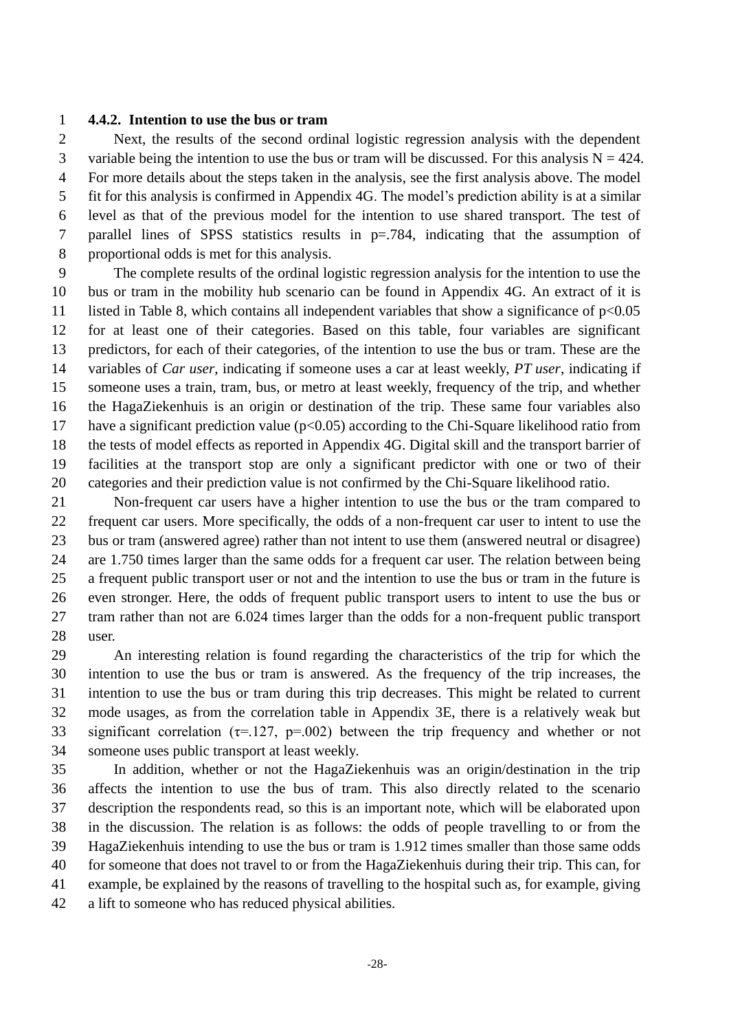#### **4.4.2. Intention to use the bus or tram**

 Next, the results of the second ordinal logistic regression analysis with the dependent 3 variable being the intention to use the bus or tram will be discussed. For this analysis  $N = 424$ . For more details about the steps taken in the analysis, see the first analysis above. The model fit for this analysis is confirmed in Appendix 4G. The model's prediction ability is at a similar level as that of the previous model for the intention to use shared transport. The test of parallel lines of SPSS statistics results in p=.784, indicating that the assumption of proportional odds is met for this analysis.

 The complete results of the ordinal logistic regression analysis for the intention to use the bus or tram in the mobility hub scenario can be found in Appendix 4G. An extract of it is 11 listed in Table 8, which contains all independent variables that show a significance of  $p<0.05$  for at least one of their categories. Based on this table, four variables are significant predictors, for each of their categories, of the intention to use the bus or tram. These are the variables of *Car user*, indicating if someone uses a car at least weekly, *PT user*, indicating if someone uses a train, tram, bus, or metro at least weekly, frequency of the trip, and whether the HagaZiekenhuis is an origin or destination of the trip. These same four variables also 17 have a significant prediction value ( $p<0.05$ ) according to the Chi-Square likelihood ratio from the tests of model effects as reported in Appendix 4G. Digital skill and the transport barrier of facilities at the transport stop are only a significant predictor with one or two of their categories and their prediction value is not confirmed by the Chi-Square likelihood ratio.

 Non-frequent car users have a higher intention to use the bus or the tram compared to frequent car users. More specifically, the odds of a non-frequent car user to intent to use the bus or tram (answered agree) rather than not intent to use them (answered neutral or disagree) are 1.750 times larger than the same odds for a frequent car user. The relation between being a frequent public transport user or not and the intention to use the bus or tram in the future is even stronger. Here, the odds of frequent public transport users to intent to use the bus or tram rather than not are 6.024 times larger than the odds for a non-frequent public transport user.

 An interesting relation is found regarding the characteristics of the trip for which the intention to use the bus or tram is answered. As the frequency of the trip increases, the intention to use the bus or tram during this trip decreases. This might be related to current mode usages, as from the correlation table in Appendix 3E, there is a relatively weak but 33 significant correlation ( $\tau$ =.127, p=.002) between the trip frequency and whether or not someone uses public transport at least weekly.

 In addition, whether or not the HagaZiekenhuis was an origin/destination in the trip affects the intention to use the bus of tram. This also directly related to the scenario description the respondents read, so this is an important note, which will be elaborated upon in the discussion. The relation is as follows: the odds of people travelling to or from the HagaZiekenhuis intending to use the bus or tram is 1.912 times smaller than those same odds for someone that does not travel to or from the HagaZiekenhuis during their trip. This can, for example, be explained by the reasons of travelling to the hospital such as, for example, giving a lift to someone who has reduced physical abilities.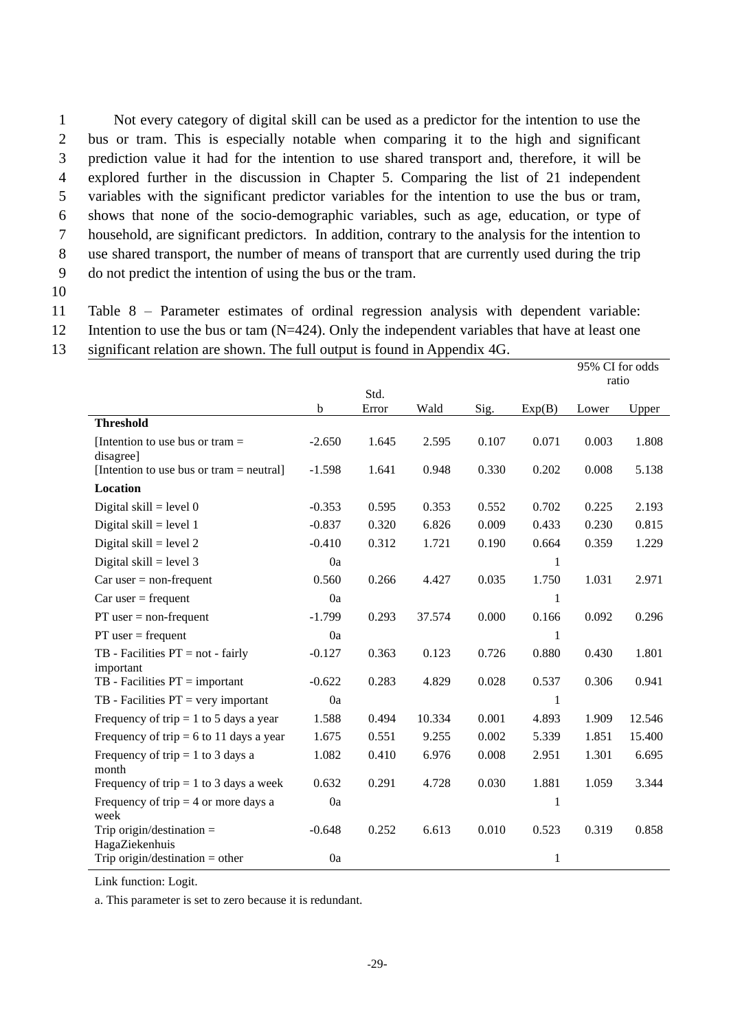Not every category of digital skill can be used as a predictor for the intention to use the bus or tram. This is especially notable when comparing it to the high and significant prediction value it had for the intention to use shared transport and, therefore, it will be explored further in the discussion in Chapter 5. Comparing the list of 21 independent variables with the significant predictor variables for the intention to use the bus or tram, shows that none of the socio-demographic variables, such as age, education, or type of household, are significant predictors. In addition, contrary to the analysis for the intention to use shared transport, the number of means of transport that are currently used during the trip do not predict the intention of using the bus or the tram.

10

11 Table 8 – Parameter estimates of ordinal regression analysis with dependent variable:

- 12 Intention to use the bus or tam (N=424). Only the independent variables that have at least one
- 13 significant relation are shown. The full output is found in Appendix 4G.

|                                                |          |       |        |       |        | 95% CI for odds<br>ratio |        |
|------------------------------------------------|----------|-------|--------|-------|--------|--------------------------|--------|
|                                                |          | Std.  |        |       |        |                          |        |
| <b>Threshold</b>                               | b        | Error | Wald   | Sig.  | Exp(B) | Lower                    | Upper  |
|                                                |          |       |        |       |        |                          |        |
| [Intention to use bus or tram $=$<br>disagree] | $-2.650$ | 1.645 | 2.595  | 0.107 | 0.071  | 0.003                    | 1.808  |
| [Intention to use bus or tram $=$ neutral]     | $-1.598$ | 1.641 | 0.948  | 0.330 | 0.202  | 0.008                    | 5.138  |
| Location                                       |          |       |        |       |        |                          |        |
| Digital skill = level $0$                      | $-0.353$ | 0.595 | 0.353  | 0.552 | 0.702  | 0.225                    | 2.193  |
| Digital skill = level $1$                      | $-0.837$ | 0.320 | 6.826  | 0.009 | 0.433  | 0.230                    | 0.815  |
| Digital skill = level $2$                      | $-0.410$ | 0.312 | 1.721  | 0.190 | 0.664  | 0.359                    | 1.229  |
| Digital skill = level $3$                      | 0a       |       |        |       | 1      |                          |        |
| $Car$ user = non-frequent                      | 0.560    | 0.266 | 4.427  | 0.035 | 1.750  | 1.031                    | 2.971  |
| $Car$ user = frequent                          | 0a       |       |        |       | 1      |                          |        |
| $PT$ user = non-frequent                       | $-1.799$ | 0.293 | 37.574 | 0.000 | 0.166  | 0.092                    | 0.296  |
| $PT$ user = frequent                           | 0a       |       |        |       | 1      |                          |        |
| $TB$ - Facilities $PT = not - fairly$          | $-0.127$ | 0.363 | 0.123  | 0.726 | 0.880  | 0.430                    | 1.801  |
| important                                      |          |       |        |       |        |                          |        |
| $TB$ - Facilities $PT = important$             | $-0.622$ | 0.283 | 4.829  | 0.028 | 0.537  | 0.306                    | 0.941  |
| $TB$ - Facilities $PT = very important$        | 0a       |       |        |       | 1      |                          |        |
| Frequency of trip = 1 to 5 days a year         | 1.588    | 0.494 | 10.334 | 0.001 | 4.893  | 1.909                    | 12.546 |
| Frequency of trip = 6 to 11 days a year        | 1.675    | 0.551 | 9.255  | 0.002 | 5.339  | 1.851                    | 15.400 |
| Frequency of trip = 1 to 3 days a<br>month     | 1.082    | 0.410 | 6.976  | 0.008 | 2.951  | 1.301                    | 6.695  |
| Frequency of trip = 1 to 3 days a week         | 0.632    | 0.291 | 4.728  | 0.030 | 1.881  | 1.059                    | 3.344  |
| Frequency of trip = 4 or more days a<br>week   | 0a       |       |        |       | 1      |                          |        |
| Trip origin/destination $=$<br>HagaZiekenhuis  | $-0.648$ | 0.252 | 6.613  | 0.010 | 0.523  | 0.319                    | 0.858  |
| Trip origin/destination = other                | 0a       |       |        |       | 1      |                          |        |

Link function: Logit.

a. This parameter is set to zero because it is redundant.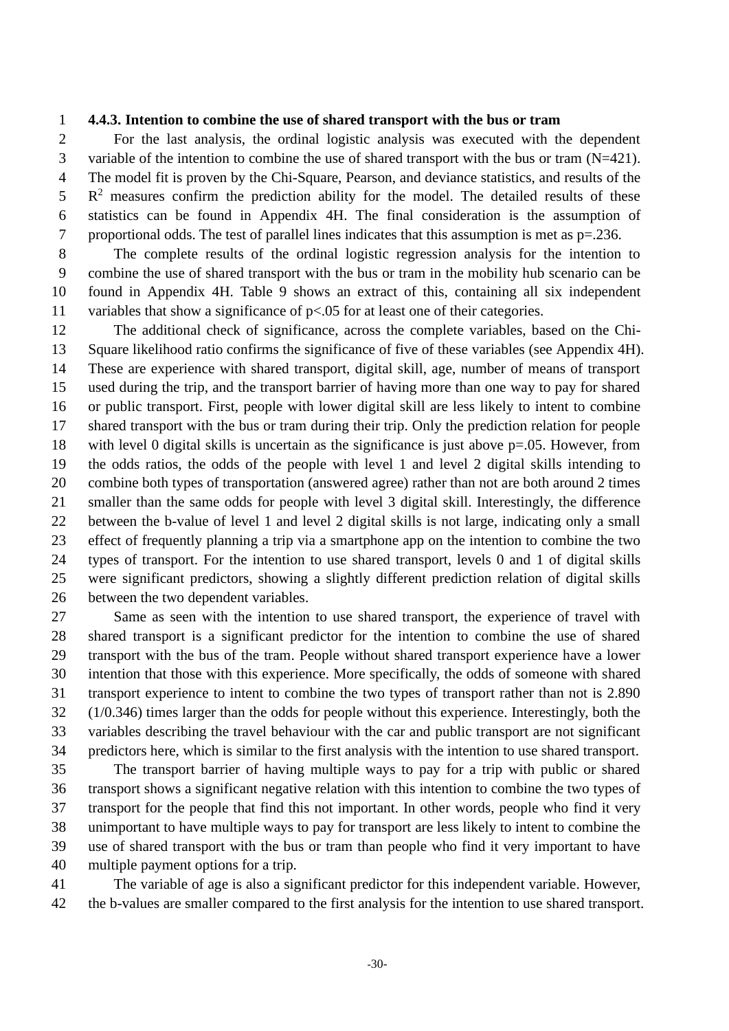#### **4.4.3. Intention to combine the use of shared transport with the bus or tram**

 For the last analysis, the ordinal logistic analysis was executed with the dependent variable of the intention to combine the use of shared transport with the bus or tram (N=421). The model fit is proven by the Chi-Square, Pearson, and deviance statistics, and results of the  $R<sup>2</sup>$  measures confirm the prediction ability for the model. The detailed results of these statistics can be found in Appendix 4H. The final consideration is the assumption of proportional odds. The test of parallel lines indicates that this assumption is met as p=.236.

 The complete results of the ordinal logistic regression analysis for the intention to combine the use of shared transport with the bus or tram in the mobility hub scenario can be found in Appendix 4H. Table 9 shows an extract of this, containing all six independent 11 variables that show a significance of  $p<0.05$  for at least one of their categories.

 The additional check of significance, across the complete variables, based on the Chi- Square likelihood ratio confirms the significance of five of these variables (see Appendix 4H). These are experience with shared transport, digital skill, age, number of means of transport used during the trip, and the transport barrier of having more than one way to pay for shared or public transport. First, people with lower digital skill are less likely to intent to combine shared transport with the bus or tram during their trip. Only the prediction relation for people with level 0 digital skills is uncertain as the significance is just above p=.05. However, from the odds ratios, the odds of the people with level 1 and level 2 digital skills intending to combine both types of transportation (answered agree) rather than not are both around 2 times smaller than the same odds for people with level 3 digital skill. Interestingly, the difference between the b-value of level 1 and level 2 digital skills is not large, indicating only a small effect of frequently planning a trip via a smartphone app on the intention to combine the two types of transport. For the intention to use shared transport, levels 0 and 1 of digital skills were significant predictors, showing a slightly different prediction relation of digital skills between the two dependent variables.

 Same as seen with the intention to use shared transport, the experience of travel with shared transport is a significant predictor for the intention to combine the use of shared transport with the bus of the tram. People without shared transport experience have a lower intention that those with this experience. More specifically, the odds of someone with shared transport experience to intent to combine the two types of transport rather than not is 2.890 (1/0.346) times larger than the odds for people without this experience. Interestingly, both the variables describing the travel behaviour with the car and public transport are not significant predictors here, which is similar to the first analysis with the intention to use shared transport. The transport barrier of having multiple ways to pay for a trip with public or shared

 transport shows a significant negative relation with this intention to combine the two types of transport for the people that find this not important. In other words, people who find it very unimportant to have multiple ways to pay for transport are less likely to intent to combine the use of shared transport with the bus or tram than people who find it very important to have multiple payment options for a trip.

 The variable of age is also a significant predictor for this independent variable. However, the b-values are smaller compared to the first analysis for the intention to use shared transport.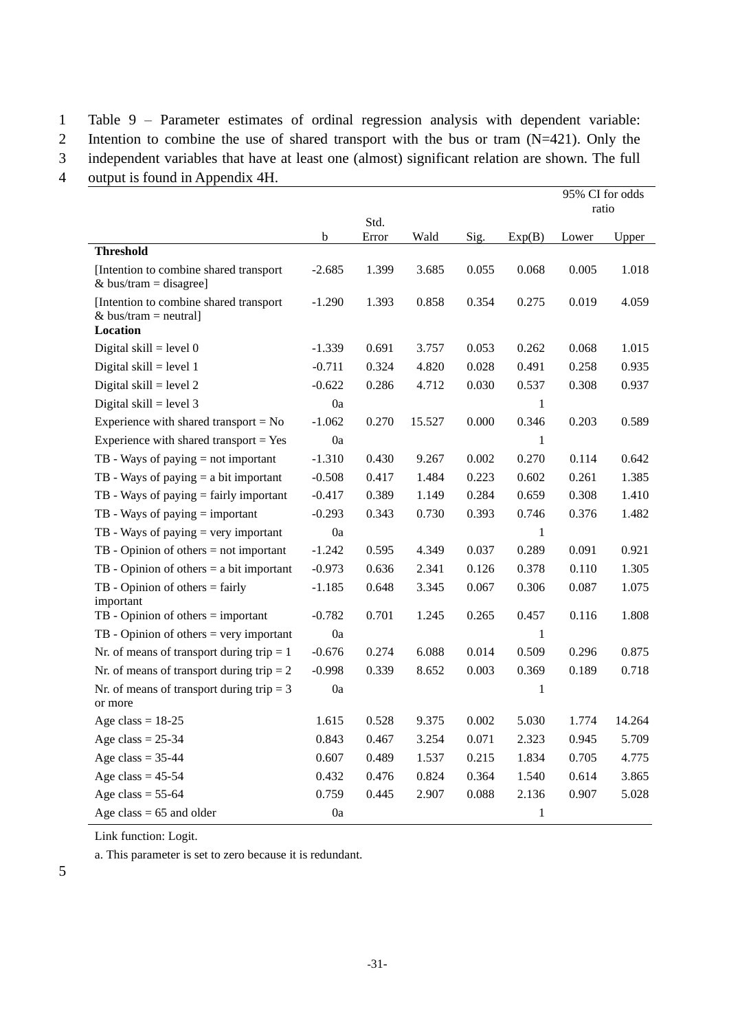1 Table 9 – Parameter estimates of ordinal regression analysis with dependent variable:

2 Intention to combine the use of shared transport with the bus or tram (N=421). Only the

3 independent variables that have at least one (almost) significant relation are shown. The full

4 output is found in Appendix 4H.

|                                                                  |          |               |        |       |              | 95% CI for odds<br>ratio |        |
|------------------------------------------------------------------|----------|---------------|--------|-------|--------------|--------------------------|--------|
|                                                                  | b        | Std.<br>Error | Wald   | Sig.  | Exp(B)       | Lower                    | Upper  |
| <b>Threshold</b>                                                 |          |               |        |       |              |                          |        |
| [Intention to combine shared transport<br>& bus/tram = disagree] | $-2.685$ | 1.399         | 3.685  | 0.055 | 0.068        | 0.005                    | 1.018  |
| [Intention to combine shared transport]<br>& bus/tram = neutral] | $-1.290$ | 1.393         | 0.858  | 0.354 | 0.275        | 0.019                    | 4.059  |
| Location                                                         |          | 0.691         |        |       | 0.262        |                          | 1.015  |
| Digital skill = level $0$                                        | $-1.339$ |               | 3.757  | 0.053 |              | 0.068                    |        |
| Digital skill = level $1$                                        | $-0.711$ | 0.324         | 4.820  | 0.028 | 0.491        | 0.258                    | 0.935  |
| Digital skill = level $2$                                        | $-0.622$ | 0.286         | 4.712  | 0.030 | 0.537        | 0.308                    | 0.937  |
| Digital skill = level $3$                                        | 0a       |               |        |       | 1            |                          |        |
| Experience with shared transport $= No$                          | $-1.062$ | 0.270         | 15.527 | 0.000 | 0.346        | 0.203                    | 0.589  |
| Experience with shared transport = $Yes$                         | 0a       |               |        |       | 1            |                          |        |
| $TB$ - Ways of paying $=$ not important                          | $-1.310$ | 0.430         | 9.267  | 0.002 | 0.270        | 0.114                    | 0.642  |
| TB - Ways of paying $=$ a bit important                          | $-0.508$ | 0.417         | 1.484  | 0.223 | 0.602        | 0.261                    | 1.385  |
| $TB$ - Ways of paying $=$ fairly important                       | $-0.417$ | 0.389         | 1.149  | 0.284 | 0.659        | 0.308                    | 1.410  |
| $TB$ - Ways of paying $=$ important                              | $-0.293$ | 0.343         | 0.730  | 0.393 | 0.746        | 0.376                    | 1.482  |
| $TB$ - Ways of paying $=$ very important                         | 0a       |               |        |       | $\mathbf{1}$ |                          |        |
| $TB$ - Opinion of others = not important                         | $-1.242$ | 0.595         | 4.349  | 0.037 | 0.289        | 0.091                    | 0.921  |
| $TB$ - Opinion of others $=$ a bit important                     | $-0.973$ | 0.636         | 2.341  | 0.126 | 0.378        | 0.110                    | 1.305  |
| $TB$ - Opinion of others = fairly<br>important                   | $-1.185$ | 0.648         | 3.345  | 0.067 | 0.306        | 0.087                    | 1.075  |
| $TB$ - Opinion of others = important                             | $-0.782$ | 0.701         | 1.245  | 0.265 | 0.457        | 0.116                    | 1.808  |
| $TB$ - Opinion of others = very important                        | 0a       |               |        |       | 1            |                          |        |
| Nr. of means of transport during trip $= 1$                      | $-0.676$ | 0.274         | 6.088  | 0.014 | 0.509        | 0.296                    | 0.875  |
| Nr. of means of transport during trip $= 2$                      | $-0.998$ | 0.339         | 8.652  | 0.003 | 0.369        | 0.189                    | 0.718  |
| Nr. of means of transport during trip $=$ 3<br>or more           | 0a       |               |        |       | 1            |                          |        |
| Age class = $18-25$                                              | 1.615    | 0.528         | 9.375  | 0.002 | 5.030        | 1.774                    | 14.264 |
| Age class = $25-34$                                              | 0.843    | 0.467         | 3.254  | 0.071 | 2.323        | 0.945                    | 5.709  |
| Age class = $35-44$                                              | 0.607    | 0.489         | 1.537  | 0.215 | 1.834        | 0.705                    | 4.775  |
| Age class = $45-54$                                              | 0.432    | 0.476         | 0.824  | 0.364 | 1.540        | 0.614                    | 3.865  |
| Age class = $55-64$                                              | 0.759    | 0.445         | 2.907  | 0.088 | 2.136        | 0.907                    | 5.028  |
| Age class = $65$ and older                                       | 0a       |               |        |       | 1            |                          |        |

Link function: Logit.

a. This parameter is set to zero because it is redundant.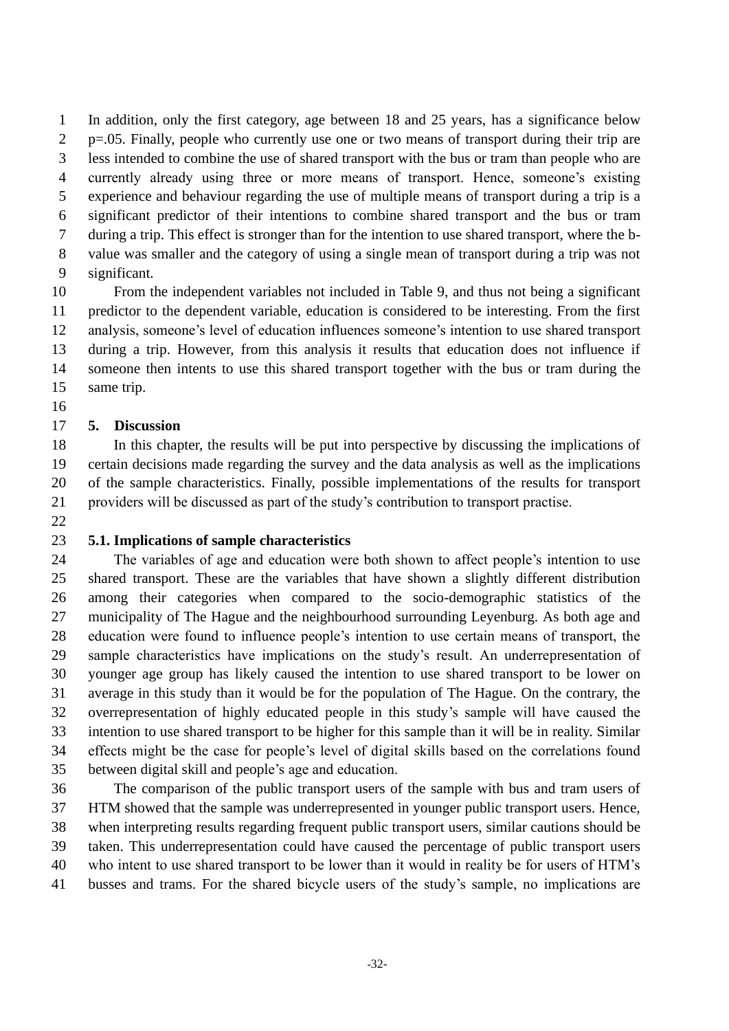In addition, only the first category, age between 18 and 25 years, has a significance below 2 p=.05. Finally, people who currently use one or two means of transport during their trip are less intended to combine the use of shared transport with the bus or tram than people who are currently already using three or more means of transport. Hence, someone's existing experience and behaviour regarding the use of multiple means of transport during a trip is a significant predictor of their intentions to combine shared transport and the bus or tram during a trip. This effect is stronger than for the intention to use shared transport, where the b- value was smaller and the category of using a single mean of transport during a trip was not significant.

 From the independent variables not included in Table 9, and thus not being a significant predictor to the dependent variable, education is considered to be interesting. From the first analysis, someone's level of education influences someone's intention to use shared transport during a trip. However, from this analysis it results that education does not influence if someone then intents to use this shared transport together with the bus or tram during the same trip.

### **5. Discussion**

 In this chapter, the results will be put into perspective by discussing the implications of certain decisions made regarding the survey and the data analysis as well as the implications of the sample characteristics. Finally, possible implementations of the results for transport providers will be discussed as part of the study's contribution to transport practise.

#### **5.1. Implications of sample characteristics**

 The variables of age and education were both shown to affect people's intention to use shared transport. These are the variables that have shown a slightly different distribution among their categories when compared to the socio-demographic statistics of the municipality of The Hague and the neighbourhood surrounding Leyenburg. As both age and education were found to influence people's intention to use certain means of transport, the sample characteristics have implications on the study's result. An underrepresentation of younger age group has likely caused the intention to use shared transport to be lower on average in this study than it would be for the population of The Hague. On the contrary, the overrepresentation of highly educated people in this study's sample will have caused the intention to use shared transport to be higher for this sample than it will be in reality. Similar effects might be the case for people's level of digital skills based on the correlations found between digital skill and people's age and education.

 The comparison of the public transport users of the sample with bus and tram users of HTM showed that the sample was underrepresented in younger public transport users. Hence, when interpreting results regarding frequent public transport users, similar cautions should be taken. This underrepresentation could have caused the percentage of public transport users who intent to use shared transport to be lower than it would in reality be for users of HTM's busses and trams. For the shared bicycle users of the study's sample, no implications are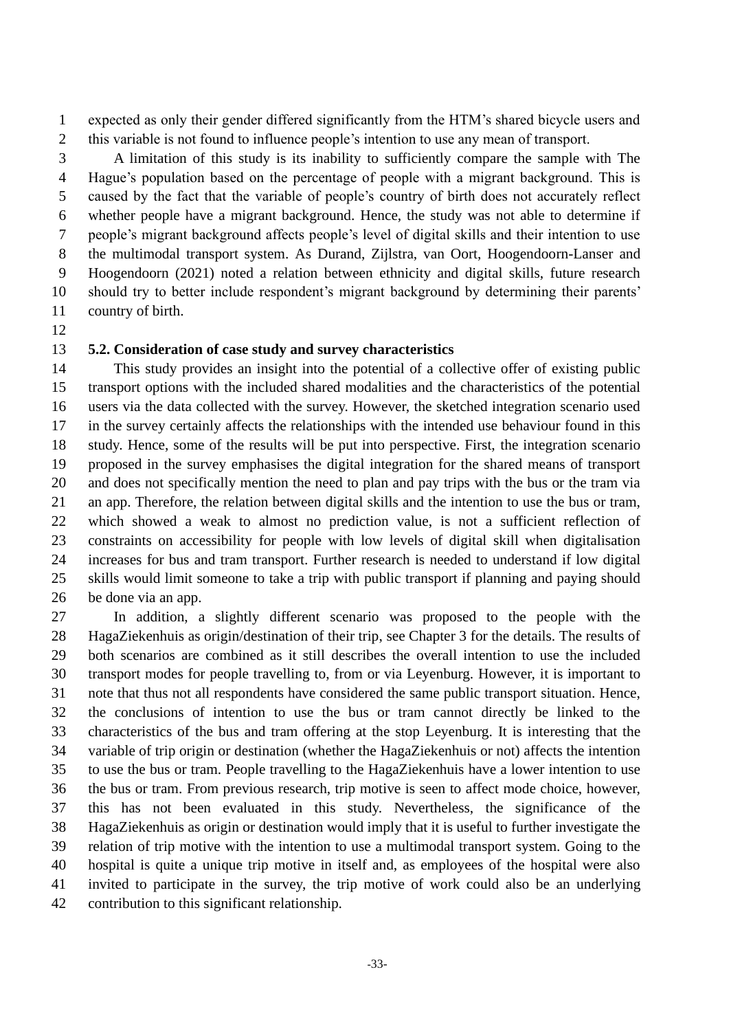expected as only their gender differed significantly from the HTM's shared bicycle users and this variable is not found to influence people's intention to use any mean of transport.

 A limitation of this study is its inability to sufficiently compare the sample with The Hague's population based on the percentage of people with a migrant background. This is caused by the fact that the variable of people's country of birth does not accurately reflect whether people have a migrant background. Hence, the study was not able to determine if people's migrant background affects people's level of digital skills and their intention to use the multimodal transport system. As Durand, Zijlstra, van Oort, Hoogendoorn-Lanser and Hoogendoorn (2021) noted a relation between ethnicity and digital skills, future research should try to better include respondent's migrant background by determining their parents' country of birth.

### **5.2. Consideration of case study and survey characteristics**

 This study provides an insight into the potential of a collective offer of existing public transport options with the included shared modalities and the characteristics of the potential users via the data collected with the survey. However, the sketched integration scenario used in the survey certainly affects the relationships with the intended use behaviour found in this study. Hence, some of the results will be put into perspective. First, the integration scenario proposed in the survey emphasises the digital integration for the shared means of transport and does not specifically mention the need to plan and pay trips with the bus or the tram via an app. Therefore, the relation between digital skills and the intention to use the bus or tram, which showed a weak to almost no prediction value, is not a sufficient reflection of constraints on accessibility for people with low levels of digital skill when digitalisation increases for bus and tram transport. Further research is needed to understand if low digital skills would limit someone to take a trip with public transport if planning and paying should be done via an app.

 In addition, a slightly different scenario was proposed to the people with the HagaZiekenhuis as origin/destination of their trip, see Chapter 3 for the details. The results of both scenarios are combined as it still describes the overall intention to use the included transport modes for people travelling to, from or via Leyenburg. However, it is important to note that thus not all respondents have considered the same public transport situation. Hence, the conclusions of intention to use the bus or tram cannot directly be linked to the characteristics of the bus and tram offering at the stop Leyenburg. It is interesting that the variable of trip origin or destination (whether the HagaZiekenhuis or not) affects the intention to use the bus or tram. People travelling to the HagaZiekenhuis have a lower intention to use the bus or tram. From previous research, trip motive is seen to affect mode choice, however, this has not been evaluated in this study. Nevertheless, the significance of the HagaZiekenhuis as origin or destination would imply that it is useful to further investigate the relation of trip motive with the intention to use a multimodal transport system. Going to the hospital is quite a unique trip motive in itself and, as employees of the hospital were also invited to participate in the survey, the trip motive of work could also be an underlying contribution to this significant relationship.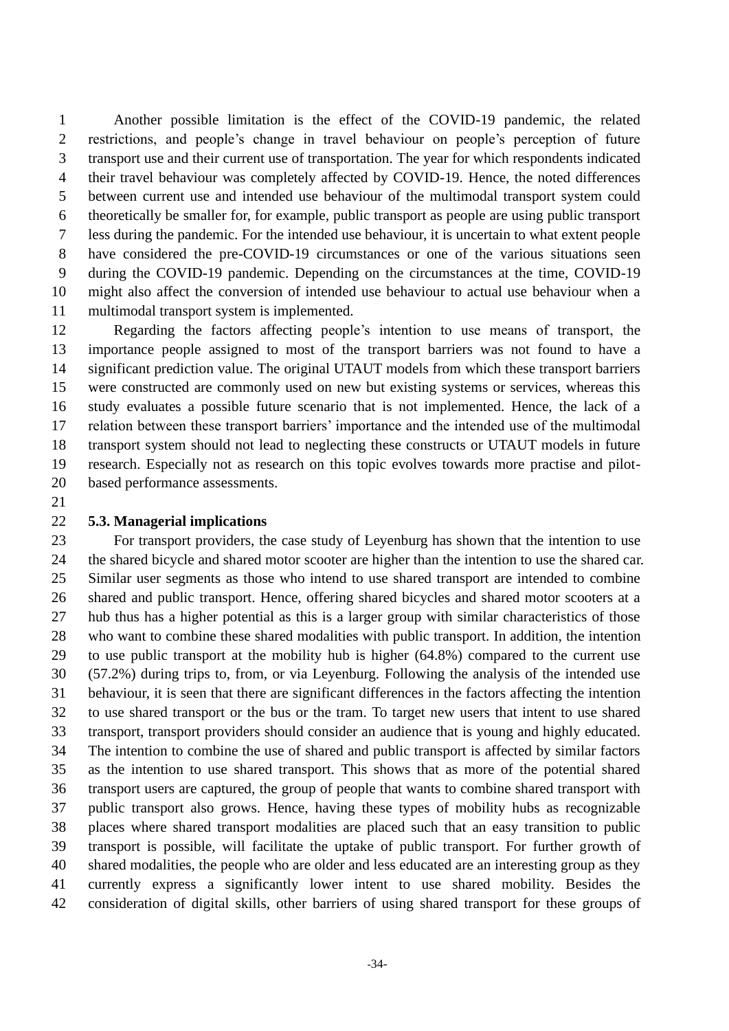Another possible limitation is the effect of the COVID-19 pandemic, the related restrictions, and people's change in travel behaviour on people's perception of future transport use and their current use of transportation. The year for which respondents indicated their travel behaviour was completely affected by COVID-19. Hence, the noted differences between current use and intended use behaviour of the multimodal transport system could theoretically be smaller for, for example, public transport as people are using public transport less during the pandemic. For the intended use behaviour, it is uncertain to what extent people have considered the pre-COVID-19 circumstances or one of the various situations seen during the COVID-19 pandemic. Depending on the circumstances at the time, COVID-19 might also affect the conversion of intended use behaviour to actual use behaviour when a multimodal transport system is implemented.

 Regarding the factors affecting people's intention to use means of transport, the importance people assigned to most of the transport barriers was not found to have a significant prediction value. The original UTAUT models from which these transport barriers were constructed are commonly used on new but existing systems or services, whereas this study evaluates a possible future scenario that is not implemented. Hence, the lack of a relation between these transport barriers' importance and the intended use of the multimodal transport system should not lead to neglecting these constructs or UTAUT models in future research. Especially not as research on this topic evolves towards more practise and pilot-based performance assessments.

### **5.3. Managerial implications**

 For transport providers, the case study of Leyenburg has shown that the intention to use the shared bicycle and shared motor scooter are higher than the intention to use the shared car. Similar user segments as those who intend to use shared transport are intended to combine shared and public transport. Hence, offering shared bicycles and shared motor scooters at a hub thus has a higher potential as this is a larger group with similar characteristics of those who want to combine these shared modalities with public transport. In addition, the intention to use public transport at the mobility hub is higher (64.8%) compared to the current use (57.2%) during trips to, from, or via Leyenburg. Following the analysis of the intended use behaviour, it is seen that there are significant differences in the factors affecting the intention to use shared transport or the bus or the tram. To target new users that intent to use shared transport, transport providers should consider an audience that is young and highly educated. The intention to combine the use of shared and public transport is affected by similar factors as the intention to use shared transport. This shows that as more of the potential shared transport users are captured, the group of people that wants to combine shared transport with public transport also grows. Hence, having these types of mobility hubs as recognizable places where shared transport modalities are placed such that an easy transition to public transport is possible, will facilitate the uptake of public transport. For further growth of shared modalities, the people who are older and less educated are an interesting group as they currently express a significantly lower intent to use shared mobility. Besides the consideration of digital skills, other barriers of using shared transport for these groups of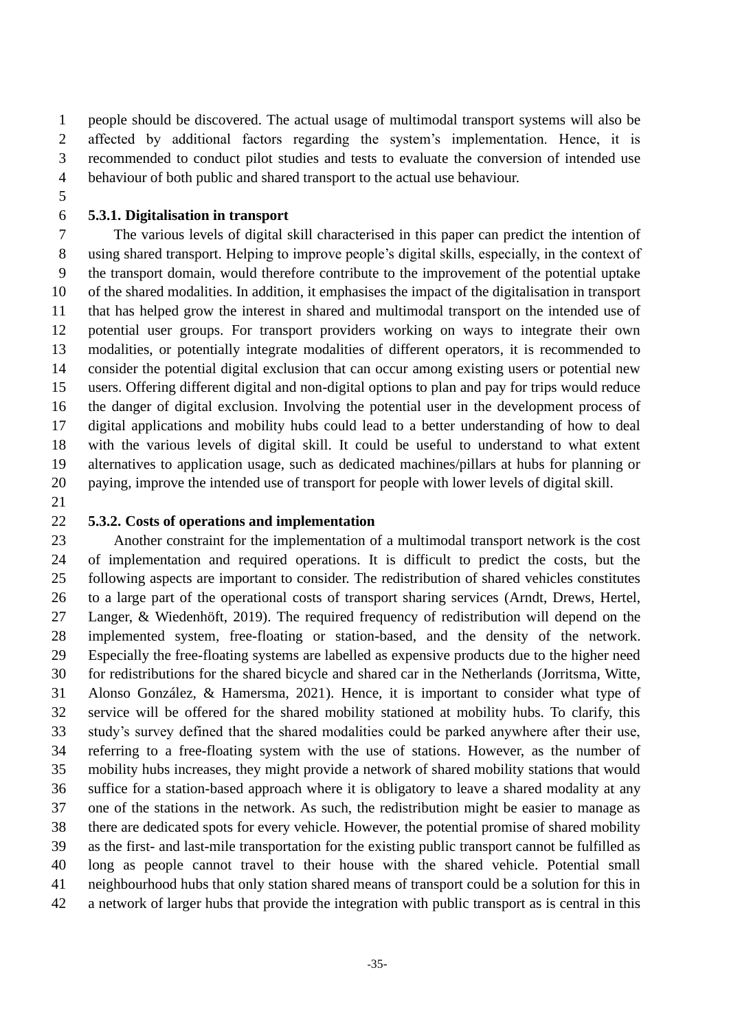people should be discovered. The actual usage of multimodal transport systems will also be affected by additional factors regarding the system's implementation. Hence, it is recommended to conduct pilot studies and tests to evaluate the conversion of intended use behaviour of both public and shared transport to the actual use behaviour.

## **5.3.1. Digitalisation in transport**

 The various levels of digital skill characterised in this paper can predict the intention of using shared transport. Helping to improve people's digital skills, especially, in the context of the transport domain, would therefore contribute to the improvement of the potential uptake of the shared modalities. In addition, it emphasises the impact of the digitalisation in transport that has helped grow the interest in shared and multimodal transport on the intended use of potential user groups. For transport providers working on ways to integrate their own modalities, or potentially integrate modalities of different operators, it is recommended to consider the potential digital exclusion that can occur among existing users or potential new users. Offering different digital and non-digital options to plan and pay for trips would reduce the danger of digital exclusion. Involving the potential user in the development process of digital applications and mobility hubs could lead to a better understanding of how to deal with the various levels of digital skill. It could be useful to understand to what extent alternatives to application usage, such as dedicated machines/pillars at hubs for planning or paying, improve the intended use of transport for people with lower levels of digital skill.

#### **5.3.2. Costs of operations and implementation**

 Another constraint for the implementation of a multimodal transport network is the cost of implementation and required operations. It is difficult to predict the costs, but the following aspects are important to consider. The redistribution of shared vehicles constitutes to a large part of the operational costs of transport sharing services (Arndt, Drews, Hertel, Langer, & Wiedenhöft, 2019). The required frequency of redistribution will depend on the implemented system, free-floating or station-based, and the density of the network. Especially the free-floating systems are labelled as expensive products due to the higher need for redistributions for the shared bicycle and shared car in the Netherlands (Jorritsma, Witte, Alonso González, & Hamersma, 2021). Hence, it is important to consider what type of service will be offered for the shared mobility stationed at mobility hubs. To clarify, this study's survey defined that the shared modalities could be parked anywhere after their use, referring to a free-floating system with the use of stations. However, as the number of mobility hubs increases, they might provide a network of shared mobility stations that would suffice for a station-based approach where it is obligatory to leave a shared modality at any one of the stations in the network. As such, the redistribution might be easier to manage as there are dedicated spots for every vehicle. However, the potential promise of shared mobility as the first- and last-mile transportation for the existing public transport cannot be fulfilled as long as people cannot travel to their house with the shared vehicle. Potential small neighbourhood hubs that only station shared means of transport could be a solution for this in a network of larger hubs that provide the integration with public transport as is central in this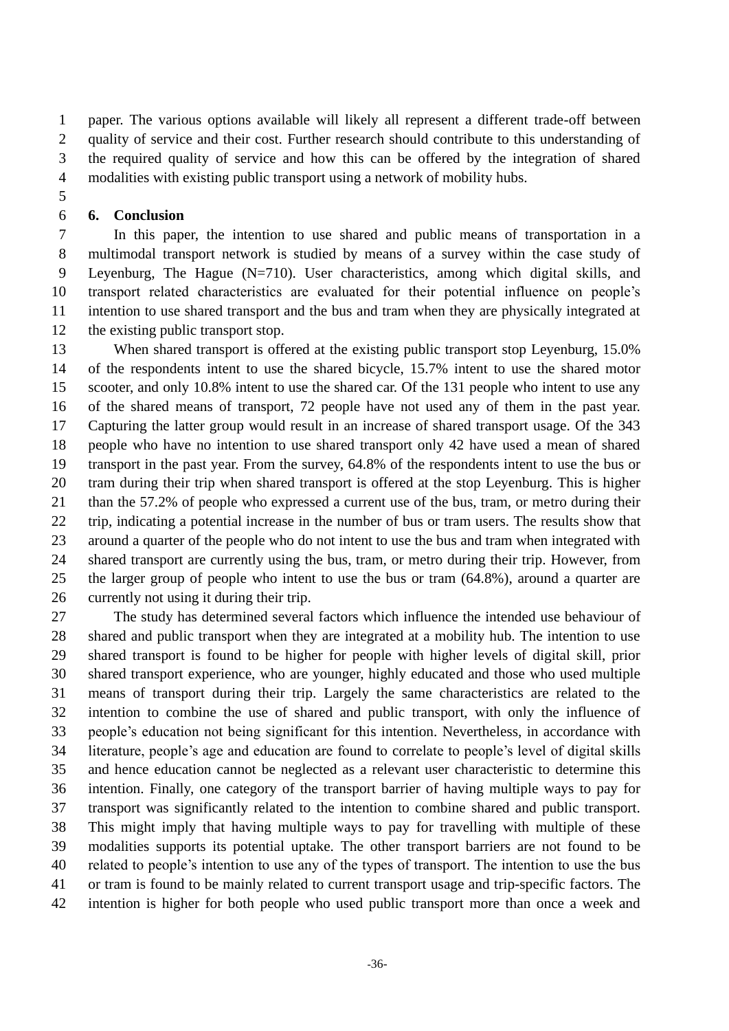paper. The various options available will likely all represent a different trade-off between quality of service and their cost. Further research should contribute to this understanding of the required quality of service and how this can be offered by the integration of shared modalities with existing public transport using a network of mobility hubs.

### **6. Conclusion**

 In this paper, the intention to use shared and public means of transportation in a multimodal transport network is studied by means of a survey within the case study of Leyenburg, The Hague (N=710). User characteristics, among which digital skills, and transport related characteristics are evaluated for their potential influence on people's intention to use shared transport and the bus and tram when they are physically integrated at the existing public transport stop.

13 When shared transport is offered at the existing public transport stop Leyenburg, 15.0% of the respondents intent to use the shared bicycle, 15.7% intent to use the shared motor scooter, and only 10.8% intent to use the shared car. Of the 131 people who intent to use any of the shared means of transport, 72 people have not used any of them in the past year. Capturing the latter group would result in an increase of shared transport usage. Of the 343 people who have no intention to use shared transport only 42 have used a mean of shared transport in the past year. From the survey, 64.8% of the respondents intent to use the bus or tram during their trip when shared transport is offered at the stop Leyenburg. This is higher than the 57.2% of people who expressed a current use of the bus, tram, or metro during their trip, indicating a potential increase in the number of bus or tram users. The results show that around a quarter of the people who do not intent to use the bus and tram when integrated with shared transport are currently using the bus, tram, or metro during their trip. However, from the larger group of people who intent to use the bus or tram (64.8%), around a quarter are 26 currently not using it during their trip.

 The study has determined several factors which influence the intended use behaviour of shared and public transport when they are integrated at a mobility hub. The intention to use shared transport is found to be higher for people with higher levels of digital skill, prior shared transport experience, who are younger, highly educated and those who used multiple means of transport during their trip. Largely the same characteristics are related to the intention to combine the use of shared and public transport, with only the influence of people's education not being significant for this intention. Nevertheless, in accordance with literature, people's age and education are found to correlate to people's level of digital skills and hence education cannot be neglected as a relevant user characteristic to determine this intention. Finally, one category of the transport barrier of having multiple ways to pay for transport was significantly related to the intention to combine shared and public transport. This might imply that having multiple ways to pay for travelling with multiple of these modalities supports its potential uptake. The other transport barriers are not found to be related to people's intention to use any of the types of transport. The intention to use the bus or tram is found to be mainly related to current transport usage and trip-specific factors. The intention is higher for both people who used public transport more than once a week and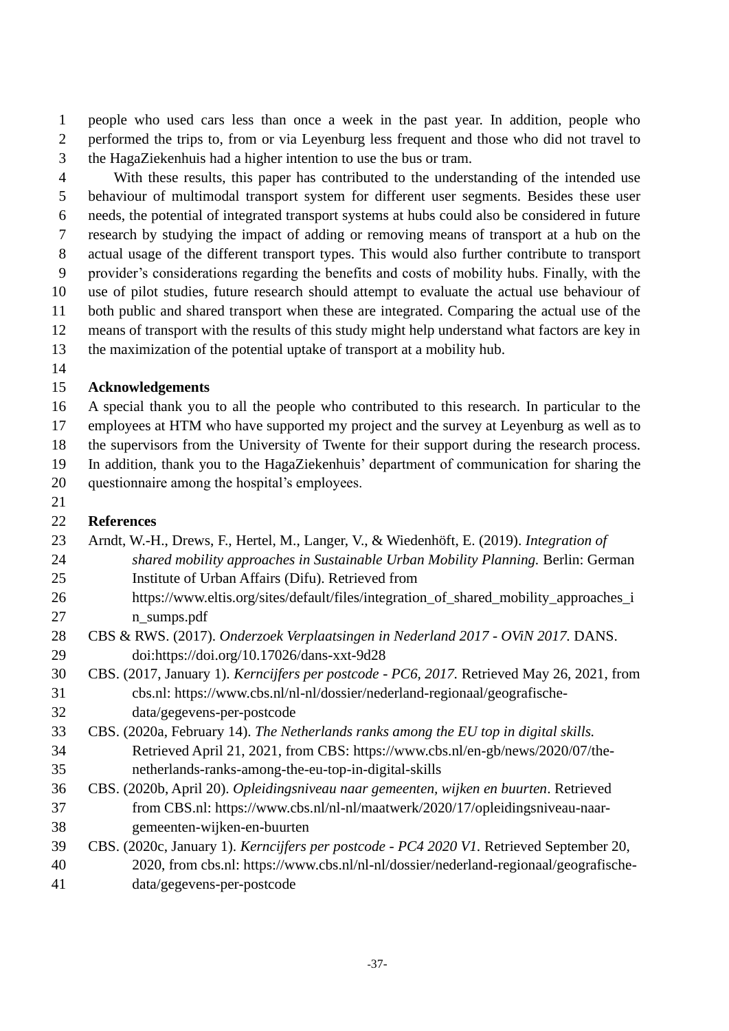people who used cars less than once a week in the past year. In addition, people who performed the trips to, from or via Leyenburg less frequent and those who did not travel to the HagaZiekenhuis had a higher intention to use the bus or tram.

 With these results, this paper has contributed to the understanding of the intended use behaviour of multimodal transport system for different user segments. Besides these user needs, the potential of integrated transport systems at hubs could also be considered in future research by studying the impact of adding or removing means of transport at a hub on the actual usage of the different transport types. This would also further contribute to transport provider's considerations regarding the benefits and costs of mobility hubs. Finally, with the use of pilot studies, future research should attempt to evaluate the actual use behaviour of both public and shared transport when these are integrated. Comparing the actual use of the means of transport with the results of this study might help understand what factors are key in the maximization of the potential uptake of transport at a mobility hub.

## **Acknowledgements**

 A special thank you to all the people who contributed to this research. In particular to the employees at HTM who have supported my project and the survey at Leyenburg as well as to the supervisors from the University of Twente for their support during the research process.

In addition, thank you to the HagaZiekenhuis' department of communication for sharing the

questionnaire among the hospital's employees.

### 

## **References**

- Arndt, W.-H., Drews, F., Hertel, M., Langer, V., & Wiedenhöft, E. (2019). *Integration of shared mobility approaches in Sustainable Urban Mobility Planning.* Berlin: German Institute of Urban Affairs (Difu). Retrieved from 26 https://www.eltis.org/sites/default/files/integration of shared mobility approaches i
- n\_sumps.pdf
- CBS & RWS. (2017). *Onderzoek Verplaatsingen in Nederland 2017 - OViN 2017.* DANS. doi:https://doi.org/10.17026/dans-xxt-9d28
- CBS. (2017, January 1). *Kerncijfers per postcode - PC6, 2017.* Retrieved May 26, 2021, from cbs.nl: https://www.cbs.nl/nl-nl/dossier/nederland-regionaal/geografische-data/gegevens-per-postcode
- CBS. (2020a, February 14). *The Netherlands ranks among the EU top in digital skills.* Retrieved April 21, 2021, from CBS: https://www.cbs.nl/en-gb/news/2020/07/the-netherlands-ranks-among-the-eu-top-in-digital-skills
- CBS. (2020b, April 20). *Opleidingsniveau naar gemeenten, wijken en buurten*. Retrieved from CBS.nl: https://www.cbs.nl/nl-nl/maatwerk/2020/17/opleidingsniveau-naar-gemeenten-wijken-en-buurten
- CBS. (2020c, January 1). *Kerncijfers per postcode - PC4 2020 V1.* Retrieved September 20, 2020, from cbs.nl: https://www.cbs.nl/nl-nl/dossier/nederland-regionaal/geografische-data/gegevens-per-postcode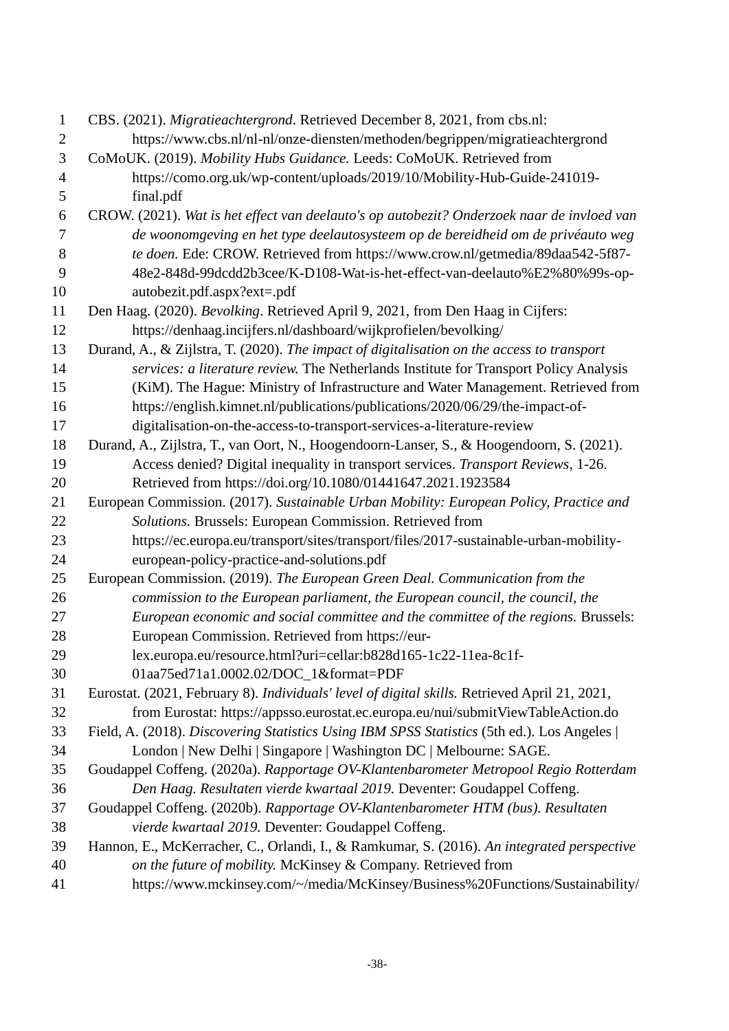| $\mathbf{1}$   | CBS. (2021). Migratieachtergrond. Retrieved December 8, 2021, from cbs.nl:                    |
|----------------|-----------------------------------------------------------------------------------------------|
| $\mathbf{2}$   | https://www.cbs.nl/nl-nl/onze-diensten/methoden/begrippen/migratieachtergrond                 |
| 3              | CoMoUK. (2019). Mobility Hubs Guidance. Leeds: CoMoUK. Retrieved from                         |
| $\overline{4}$ | https://como.org.uk/wp-content/uploads/2019/10/Mobility-Hub-Guide-241019-                     |
| 5              | final.pdf                                                                                     |
| 6              | CROW. (2021). Wat is het effect van deelauto's op autobezit? Onderzoek naar de invloed van    |
| 7              | de woonomgeving en het type deelautosysteem op de bereidheid om de privéauto weg              |
| 8              | te doen. Ede: CROW. Retrieved from https://www.crow.nl/getmedia/89daa542-5f87-                |
| 9              | 48e2-848d-99dcdd2b3cee/K-D108-Wat-is-het-effect-van-deelauto%E2%80%99s-op-                    |
| 10             | autobezit.pdf.aspx?ext=.pdf                                                                   |
| 11             | Den Haag. (2020). Bevolking. Retrieved April 9, 2021, from Den Haag in Cijfers:               |
| 12             | https://denhaag.incijfers.nl/dashboard/wijkprofielen/bevolking/                               |
| 13             | Durand, A., & Zijlstra, T. (2020). The impact of digitalisation on the access to transport    |
| 14             | services: a literature review. The Netherlands Institute for Transport Policy Analysis        |
| 15             | (KiM). The Hague: Ministry of Infrastructure and Water Management. Retrieved from             |
| 16             | https://english.kimnet.nl/publications/publications/2020/06/29/the-impact-of-                 |
| 17             | digitalisation-on-the-access-to-transport-services-a-literature-review                        |
| 18             | Durand, A., Zijlstra, T., van Oort, N., Hoogendoorn-Lanser, S., & Hoogendoorn, S. (2021).     |
| 19             | Access denied? Digital inequality in transport services. Transport Reviews, 1-26.             |
| 20             | Retrieved from https://doi.org/10.1080/01441647.2021.1923584                                  |
| 21             | European Commission. (2017). Sustainable Urban Mobility: European Policy, Practice and        |
| 22             | Solutions. Brussels: European Commission. Retrieved from                                      |
| 23             | https://ec.europa.eu/transport/sites/transport/files/2017-sustainable-urban-mobility-         |
| 24             | european-policy-practice-and-solutions.pdf                                                    |
| 25             | European Commission. (2019). The European Green Deal. Communication from the                  |
| 26             | commission to the European parliament, the European council, the council, the                 |
| 27             | European economic and social committee and the committee of the regions. Brussels:            |
| 28             | European Commission. Retrieved from https://eur-                                              |
| 29             | lex.europa.eu/resource.html?uri=cellar:b828d165-1c22-11ea-8c1f-                               |
| 30             | 01aa75ed71a1.0002.02/DOC_1&format=PDF                                                         |
| 31             | Eurostat. (2021, February 8). Individuals' level of digital skills. Retrieved April 21, 2021, |
| 32             | from Eurostat: https://appsso.eurostat.ec.europa.eu/nui/submitViewTableAction.do              |
| 33             | Field, A. (2018). Discovering Statistics Using IBM SPSS Statistics (5th ed.). Los Angeles     |
| 34             | London   New Delhi   Singapore   Washington DC   Melbourne: SAGE.                             |
| 35             | Goudappel Coffeng. (2020a). Rapportage OV-Klantenbarometer Metropool Regio Rotterdam          |
| 36             | Den Haag. Resultaten vierde kwartaal 2019. Deventer: Goudappel Coffeng.                       |
| 37             | Goudappel Coffeng. (2020b). Rapportage OV-Klantenbarometer HTM (bus). Resultaten              |
| 38             | vierde kwartaal 2019. Deventer: Goudappel Coffeng.                                            |
| 39             | Hannon, E., McKerracher, C., Orlandi, I., & Ramkumar, S. (2016). An integrated perspective    |
| 40             | on the future of mobility. McKinsey & Company. Retrieved from                                 |
| 41             | https://www.mckinsey.com/~/media/McKinsey/Business%20Functions/Sustainability/                |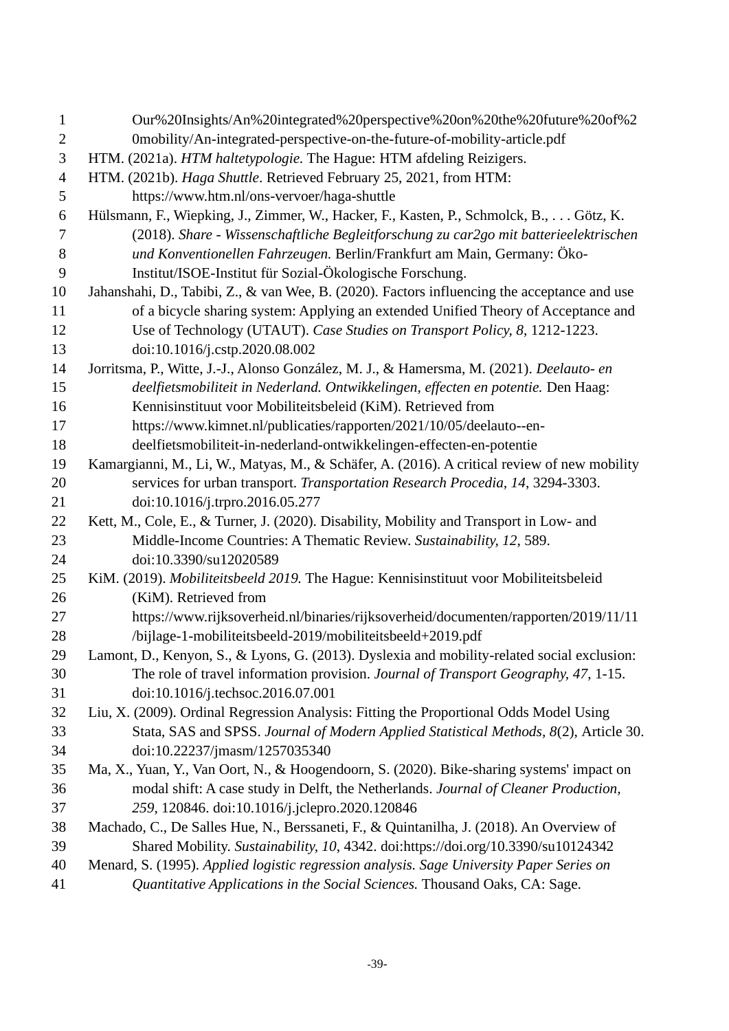| $\mathbf{1}$     | Our%20Insights/An%20integrated%20perspective%20on%20the%20future%20of%2                      |
|------------------|----------------------------------------------------------------------------------------------|
| $\mathbf{2}$     | 0mobility/An-integrated-perspective-on-the-future-of-mobility-article.pdf                    |
| 3                | HTM. (2021a). HTM haltetypologie. The Hague: HTM afdeling Reizigers.                         |
| $\overline{4}$   | HTM. (2021b). Haga Shuttle. Retrieved February 25, 2021, from HTM:                           |
| 5                | https://www.htm.nl/ons-vervoer/haga-shuttle                                                  |
| $\boldsymbol{6}$ | Hülsmann, F., Wiepking, J., Zimmer, W., Hacker, F., Kasten, P., Schmolck, B., Götz, K.       |
| $\overline{7}$   | (2018). Share - Wissenschaftliche Begleitforschung zu car2go mit batterieelektrischen        |
| $8\,$            | und Konventionellen Fahrzeugen. Berlin/Frankfurt am Main, Germany: Öko-                      |
| 9                | Institut/ISOE-Institut für Sozial-Ökologische Forschung.                                     |
| 10               | Jahanshahi, D., Tabibi, Z., & van Wee, B. (2020). Factors influencing the acceptance and use |
| 11               | of a bicycle sharing system: Applying an extended Unified Theory of Acceptance and           |
| 12               | Use of Technology (UTAUT). Case Studies on Transport Policy, 8, 1212-1223.                   |
| 13               | doi:10.1016/j.cstp.2020.08.002                                                               |
| 14               | Jorritsma, P., Witte, J.-J., Alonso González, M. J., & Hamersma, M. (2021). Deelauto- en     |
| 15               | deelfietsmobiliteit in Nederland. Ontwikkelingen, effecten en potentie. Den Haag:            |
| 16               | Kennisinstituut voor Mobiliteitsbeleid (KiM). Retrieved from                                 |
| 17               | https://www.kimnet.nl/publicaties/rapporten/2021/10/05/deelauto--en-                         |
| 18               | deelfietsmobiliteit-in-nederland-ontwikkelingen-effecten-en-potentie                         |
| 19               | Kamargianni, M., Li, W., Matyas, M., & Schäfer, A. (2016). A critical review of new mobility |
| 20               | services for urban transport. Transportation Research Procedia, 14, 3294-3303.               |
| 21               | doi:10.1016/j.trpro.2016.05.277                                                              |
| 22               | Kett, M., Cole, E., & Turner, J. (2020). Disability, Mobility and Transport in Low- and      |
| 23               | Middle-Income Countries: A Thematic Review. Sustainability, 12, 589.                         |
| 24               | doi:10.3390/su12020589                                                                       |
| 25               | KiM. (2019). Mobiliteitsbeeld 2019. The Hague: Kennisinstituut voor Mobiliteitsbeleid        |
| 26               | (KiM). Retrieved from                                                                        |
| 27               | https://www.rijksoverheid.nl/binaries/rijksoverheid/documenten/rapporten/2019/11/11          |
| 28               | /bijlage-1-mobiliteitsbeeld-2019/mobiliteitsbeeld+2019.pdf                                   |
| 29               | Lamont, D., Kenyon, S., & Lyons, G. (2013). Dyslexia and mobility-related social exclusion:  |
| 30               | The role of travel information provision. Journal of Transport Geography, 47, 1-15.          |
| 31               | doi:10.1016/j.techsoc.2016.07.001                                                            |
| 32               | Liu, X. (2009). Ordinal Regression Analysis: Fitting the Proportional Odds Model Using       |
| 33               | Stata, SAS and SPSS. Journal of Modern Applied Statistical Methods, 8(2), Article 30.        |
| 34               | doi:10.22237/jmasm/1257035340                                                                |
| 35               | Ma, X., Yuan, Y., Van Oort, N., & Hoogendoorn, S. (2020). Bike-sharing systems' impact on    |
| 36               | modal shift: A case study in Delft, the Netherlands. Journal of Cleaner Production,          |
| 37               | 259, 120846. doi:10.1016/j.jclepro.2020.120846                                               |
| 38               | Machado, C., De Salles Hue, N., Berssaneti, F., & Quintanilha, J. (2018). An Overview of     |
| 39               | Shared Mobility. Sustainability, 10, 4342. doi:https://doi.org/10.3390/su10124342            |
| 40               | Menard, S. (1995). Applied logistic regression analysis. Sage University Paper Series on     |
| 41               | Quantitative Applications in the Social Sciences. Thousand Oaks, CA: Sage.                   |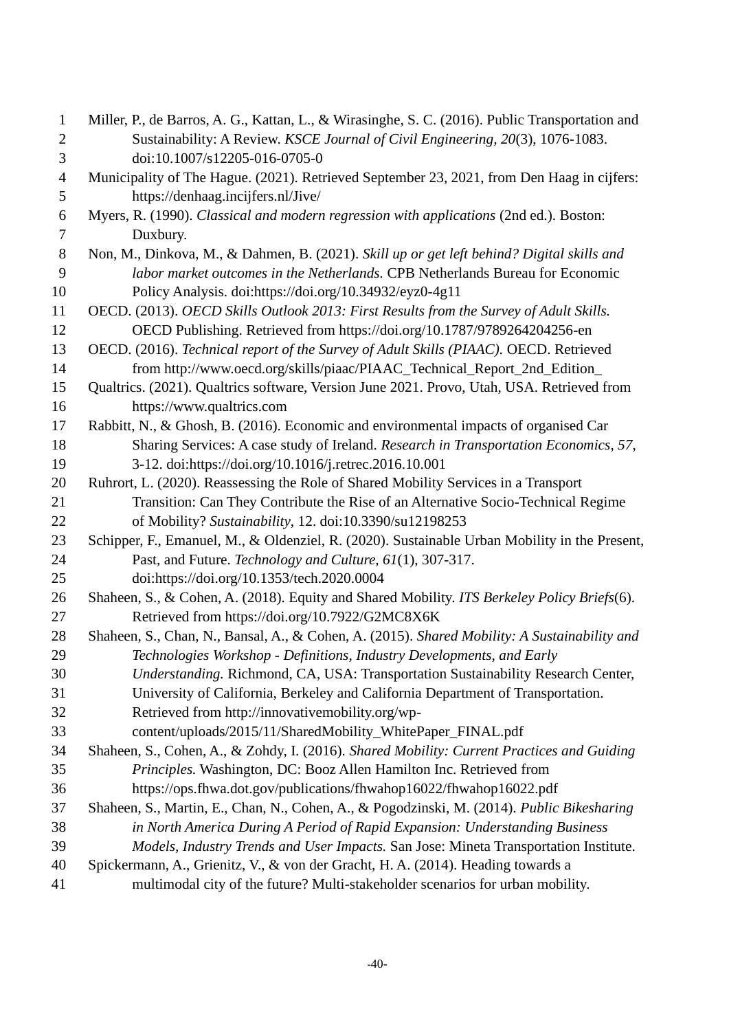| $\mathbf{1}$   | Miller, P., de Barros, A. G., Kattan, L., & Wirasinghe, S. C. (2016). Public Transportation and |
|----------------|-------------------------------------------------------------------------------------------------|
| $\mathbf{2}$   | Sustainability: A Review. KSCE Journal of Civil Engineering, 20(3), 1076-1083.                  |
| 3              | doi:10.1007/s12205-016-0705-0                                                                   |
| $\overline{4}$ | Municipality of The Hague. (2021). Retrieved September 23, 2021, from Den Haag in cijfers:      |
| 5              | https://denhaag.incijfers.nl/Jive/                                                              |
| 6              | Myers, R. (1990). Classical and modern regression with applications (2nd ed.). Boston:          |
| 7              | Duxbury.                                                                                        |
| $8\,$          | Non, M., Dinkova, M., & Dahmen, B. (2021). Skill up or get left behind? Digital skills and      |
| 9              | labor market outcomes in the Netherlands. CPB Netherlands Bureau for Economic                   |
| 10             | Policy Analysis. doi:https://doi.org/10.34932/eyz0-4g11                                         |
| 11             | OECD. (2013). OECD Skills Outlook 2013: First Results from the Survey of Adult Skills.          |
| 12             | OECD Publishing. Retrieved from https://doi.org/10.1787/9789264204256-en                        |
| 13             | OECD. (2016). Technical report of the Survey of Adult Skills (PIAAC). OECD. Retrieved           |
| 14             | from http://www.oecd.org/skills/piaac/PIAAC_Technical_Report_2nd_Edition_                       |
| 15             | Qualtrics. (2021). Qualtrics software, Version June 2021. Provo, Utah, USA. Retrieved from      |
| 16             | https://www.qualtrics.com                                                                       |
| 17             | Rabbitt, N., & Ghosh, B. (2016). Economic and environmental impacts of organised Car            |
| 18             | Sharing Services: A case study of Ireland. Research in Transportation Economics, 57,            |
| 19             | 3-12. doi:https://doi.org/10.1016/j.retrec.2016.10.001                                          |
| 20             | Ruhrort, L. (2020). Reassessing the Role of Shared Mobility Services in a Transport             |
| 21             | Transition: Can They Contribute the Rise of an Alternative Socio-Technical Regime               |
| 22             | of Mobility? Sustainability, 12. doi:10.3390/su12198253                                         |
| 23             | Schipper, F., Emanuel, M., & Oldenziel, R. (2020). Sustainable Urban Mobility in the Present,   |
| 24             | Past, and Future. Technology and Culture, 61(1), 307-317.                                       |
| 25             | doi:https://doi.org/10.1353/tech.2020.0004                                                      |
| 26             | Shaheen, S., & Cohen, A. (2018). Equity and Shared Mobility. ITS Berkeley Policy Briefs(6).     |
| 27             | Retrieved from https://doi.org/10.7922/G2MC8X6K                                                 |
| 28             | Shaheen, S., Chan, N., Bansal, A., & Cohen, A. (2015). Shared Mobility: A Sustainability and    |
| 29             | Technologies Workshop - Definitions, Industry Developments, and Early                           |
| 30             | Understanding. Richmond, CA, USA: Transportation Sustainability Research Center,                |
| 31             | University of California, Berkeley and California Department of Transportation.                 |
| 32             | Retrieved from http://innovativemobility.org/wp-                                                |
| 33             | content/uploads/2015/11/SharedMobility_WhitePaper_FINAL.pdf                                     |
| 34             | Shaheen, S., Cohen, A., & Zohdy, I. (2016). Shared Mobility: Current Practices and Guiding      |
| 35             | Principles. Washington, DC: Booz Allen Hamilton Inc. Retrieved from                             |
| 36             | https://ops.fhwa.dot.gov/publications/fhwahop16022/fhwahop16022.pdf                             |
| 37             | Shaheen, S., Martin, E., Chan, N., Cohen, A., & Pogodzinski, M. (2014). Public Bikesharing      |
| 38             | in North America During A Period of Rapid Expansion: Understanding Business                     |
| 39             | Models, Industry Trends and User Impacts. San Jose: Mineta Transportation Institute.            |
| 40             | Spickermann, A., Grienitz, V., & von der Gracht, H. A. (2014). Heading towards a                |
| 41             | multimodal city of the future? Multi-stakeholder scenarios for urban mobility.                  |